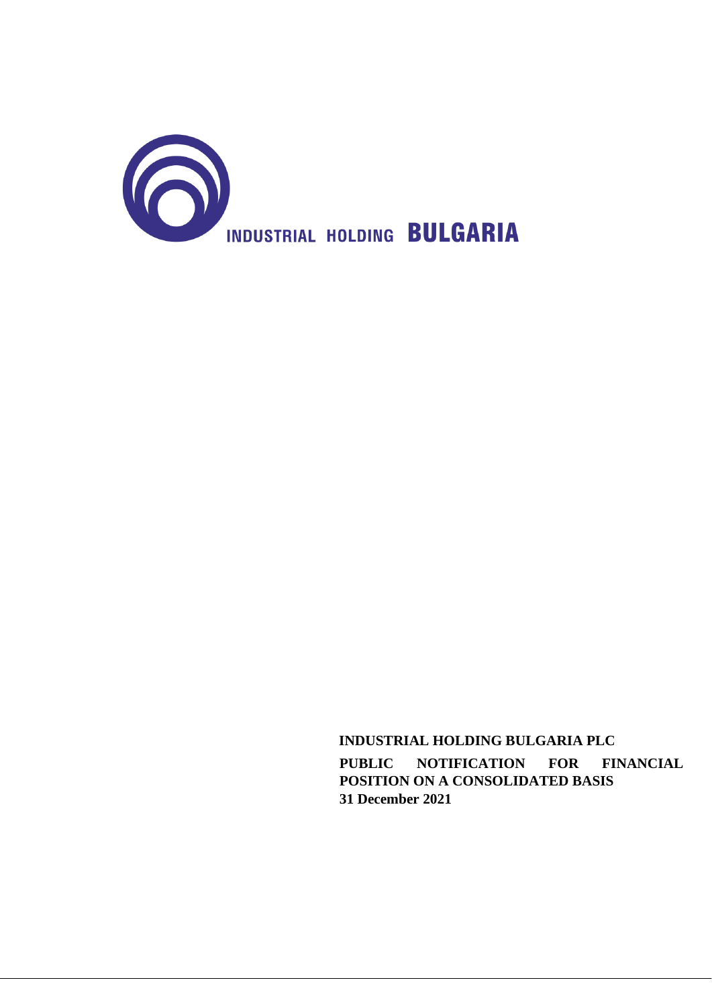

 **INDUSTRIAL HOLDING BULGARIA PLC PUBLIC NOTIFICATION FOR FINANCIAL POSITION ON A CONSOLIDATED BASIS 31 December 2021**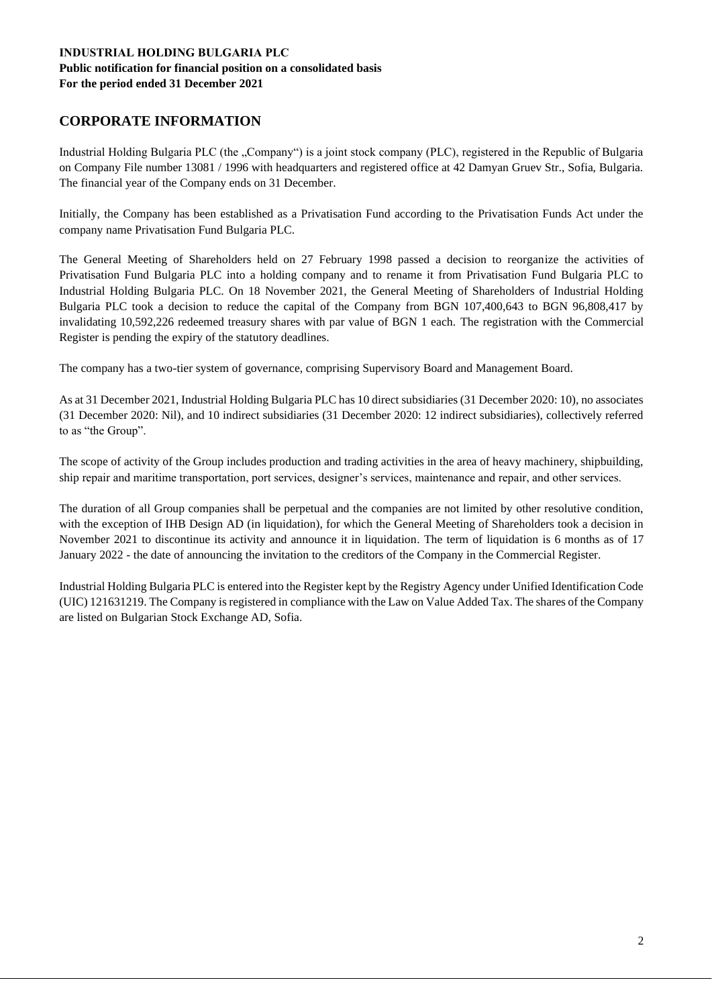#### **INDUSTRIAL HOLDING BULGARIA PLC Public notification for financial position on a consolidated basis For the period ended 31 December 2021**

# **CORPORATE INFORMATION**

Industrial Holding Bulgaria PLC (the "Company") is a joint stock company (PLC), registered in the Republic of Bulgaria on Company File number 13081 / 1996 with headquarters and registered office at 42 Damyan Gruev Str., Sofia, Bulgaria. The financial year of the Company ends on 31 December.

Initially, the Company has been established as a Privatisation Fund according to the Privatisation Funds Act under the company name Privatisation Fund Bulgaria PLC.

The General Meeting of Shareholders held on 27 February 1998 passed a decision to reorganize the activities of Privatisation Fund Bulgaria PLC into a holding company and to rename it from Privatisation Fund Bulgaria PLC to Industrial Holding Bulgaria PLC. On 18 November 2021, the General Meeting of Shareholders of Industrial Holding Bulgaria PLC took a decision to reduce the capital of the Company from BGN 107,400,643 to BGN 96,808,417 by invalidating 10,592,226 redeemed treasury shares with par value of BGN 1 each. The registration with the Commercial Register is pending the expiry of the statutory deadlines.

The company has a two-tier system of governance, comprising Supervisory Board and Management Board.

As at 31 December 2021, Industrial Holding Bulgaria PLC has 10 direct subsidiaries (31 December 2020: 10), no associates (31 December 2020: Nil), and 10 indirect subsidiaries (31 December 2020: 12 indirect subsidiaries), collectively referred to as "the Group".

The scope of activity of the Group includes production and trading activities in the area of heavy machinery, shipbuilding, ship repair and maritime transportation, port services, designer's services, maintenance and repair, and other services.

The duration of all Group companies shall be perpetual and the companies are not limited by other resolutive condition, with the exception of IHB Design AD (in liquidation), for which the General Meeting of Shareholders took a decision in November 2021 to discontinue its activity and announce it in liquidation. The term of liquidation is 6 months as of 17 January 2022 - the date of announcing the invitation to the creditors of the Company in the Commercial Register.

Industrial Holding Bulgaria PLC is entered into the Register kept by the Registry Agency under Unified Identification Code (UIC) 121631219. The Company is registered in compliance with the Law on Value Added Tax. The shares of the Company are listed on Bulgarian Stock Exchange AD, Sofia.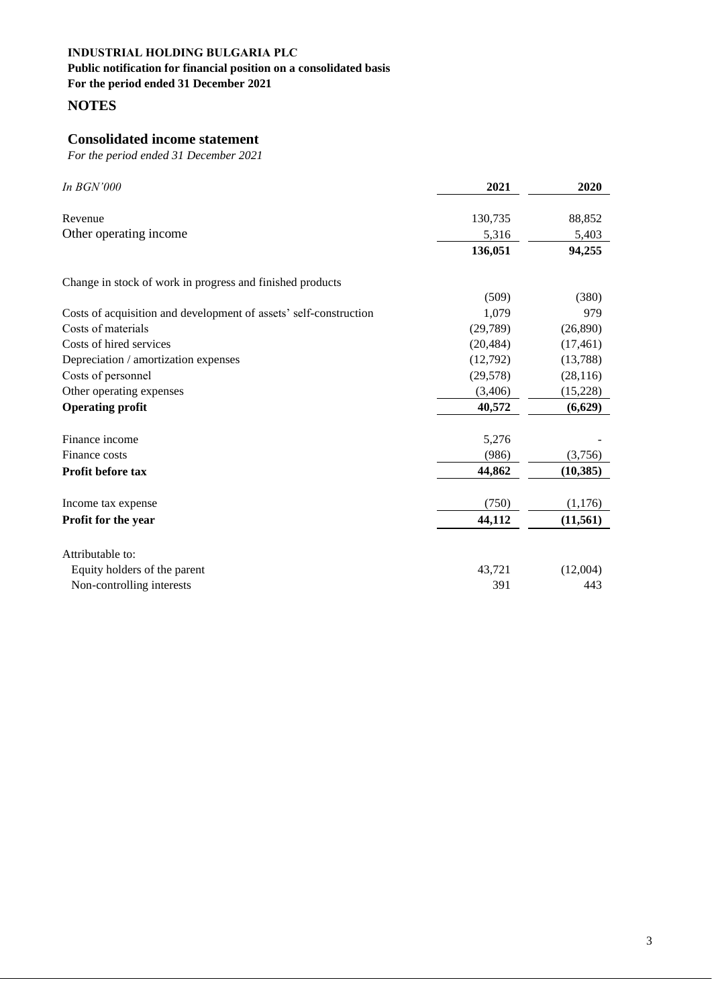#### **Public notification for financial position on a consolidated basis**

**For the period ended 31 December 2021**

**NOTES**

# **Consolidated income statement**

| In <b>BGN'000</b>                                                 | 2021      | 2020      |
|-------------------------------------------------------------------|-----------|-----------|
|                                                                   |           |           |
| Revenue                                                           | 130,735   | 88,852    |
| Other operating income                                            | 5,316     | 5,403     |
|                                                                   | 136,051   | 94,255    |
| Change in stock of work in progress and finished products         |           |           |
|                                                                   | (509)     | (380)     |
| Costs of acquisition and development of assets' self-construction | 1,079     | 979       |
| Costs of materials                                                | (29, 789) | (26,890)  |
| Costs of hired services                                           | (20, 484) | (17, 461) |
| Depreciation / amortization expenses                              | (12,792)  | (13,788)  |
| Costs of personnel                                                | (29, 578) | (28, 116) |
| Other operating expenses                                          | (3,406)   | (15,228)  |
| <b>Operating profit</b>                                           | 40,572    | (6,629)   |
| Finance income                                                    | 5,276     |           |
| Finance costs                                                     | (986)     | (3,756)   |
| Profit before tax                                                 | 44,862    | (10, 385) |
| Income tax expense                                                | (750)     | (1,176)   |
| Profit for the year                                               | 44,112    | (11, 561) |
| Attributable to:                                                  |           |           |
| Equity holders of the parent                                      | 43,721    | (12,004)  |
| Non-controlling interests                                         | 391       | 443       |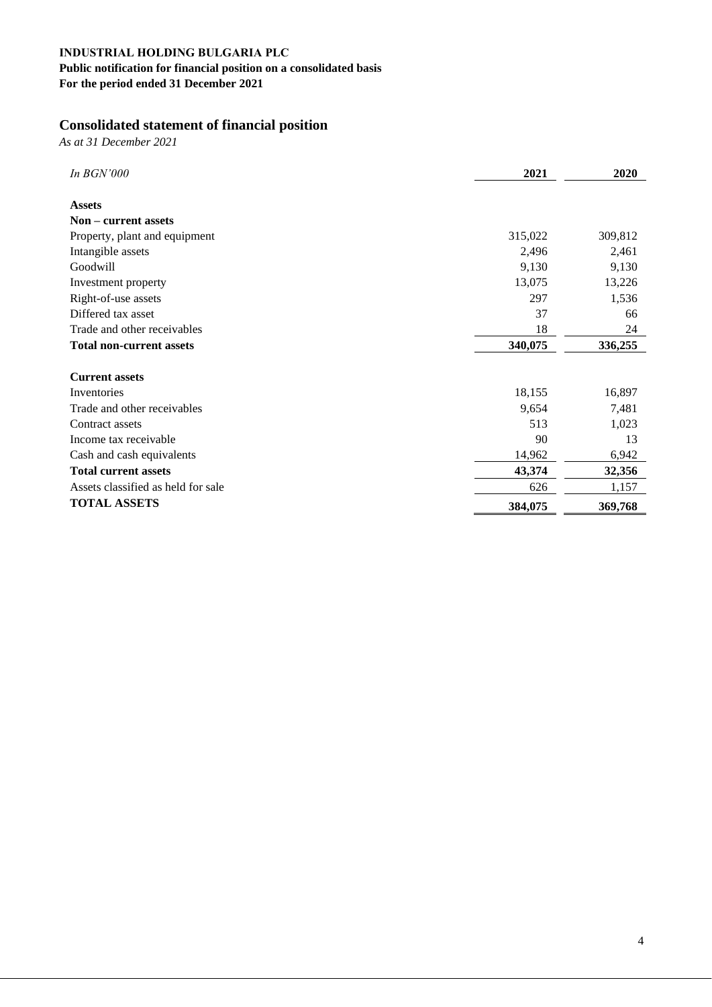# **Public notification for financial position on a consolidated basis**

**For the period ended 31 December 2021**

# **Consolidated statement of financial position**

*As at 31 December 2021*

| In <b>BGN'000</b>                  | 2021    | 2020    |
|------------------------------------|---------|---------|
| <b>Assets</b>                      |         |         |
| Non – current assets               |         |         |
| Property, plant and equipment      | 315,022 | 309,812 |
| Intangible assets                  | 2,496   | 2,461   |
| Goodwill                           | 9,130   | 9,130   |
| Investment property                | 13,075  | 13,226  |
| Right-of-use assets                | 297     | 1,536   |
| Differed tax asset                 | 37      | 66      |
| Trade and other receivables        | 18      | 24      |
| <b>Total non-current assets</b>    | 340,075 | 336,255 |
|                                    |         |         |
| <b>Current assets</b>              |         |         |
| Inventories                        | 18,155  | 16,897  |
| Trade and other receivables        | 9,654   | 7,481   |
| Contract assets                    | 513     | 1,023   |
| Income tax receivable              | 90      | 13      |
| Cash and cash equivalents          | 14,962  | 6,942   |
| <b>Total current assets</b>        | 43,374  | 32,356  |
| Assets classified as held for sale | 626     | 1,157   |
| <b>TOTAL ASSETS</b>                | 384,075 | 369,768 |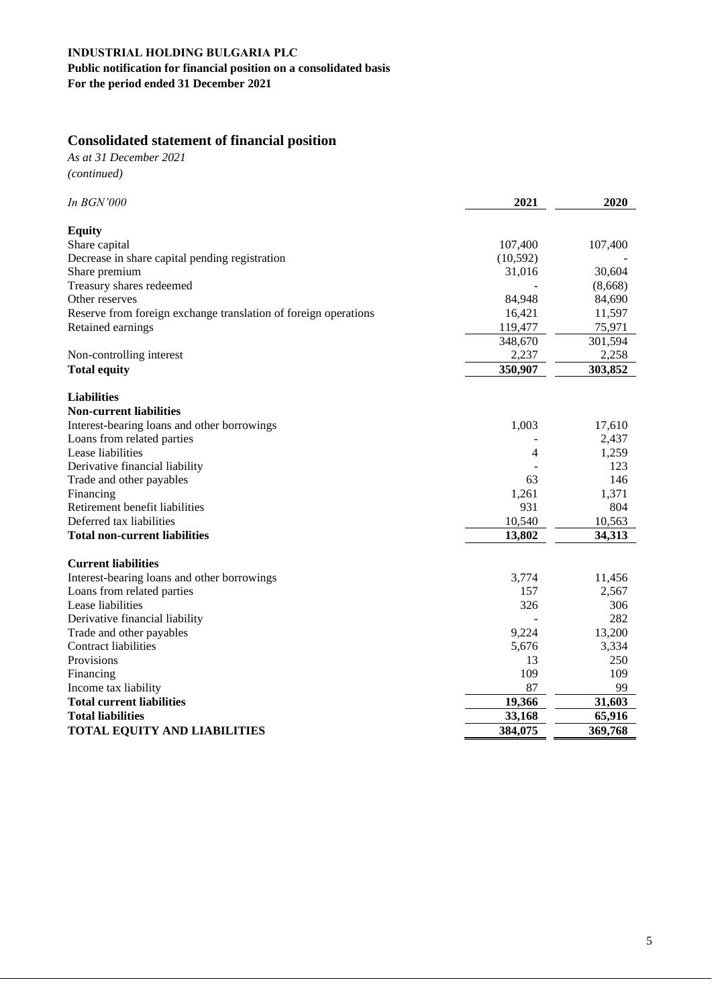# **INDUSTRIAL HOLDING BULGARIA PLC Public notification for financial position on a consolidated basis**

**For the period ended 31 December 2021**

# **Consolidated statement of financial position**

*As at 31 December 2021 (continued)*

| In BGN'000                                                      | 2021      | 2020    |
|-----------------------------------------------------------------|-----------|---------|
| <b>Equity</b>                                                   |           |         |
| Share capital                                                   | 107,400   | 107,400 |
| Decrease in share capital pending registration                  | (10, 592) |         |
| Share premium                                                   | 31,016    | 30,604  |
| Treasury shares redeemed                                        |           | (8,668) |
| Other reserves                                                  | 84,948    | 84,690  |
| Reserve from foreign exchange translation of foreign operations | 16,421    | 11,597  |
| Retained earnings                                               | 119,477   | 75,971  |
|                                                                 | 348,670   | 301,594 |
| Non-controlling interest                                        | 2,237     | 2,258   |
| <b>Total equity</b>                                             | 350,907   | 303,852 |
| <b>Liabilities</b>                                              |           |         |
| <b>Non-current liabilities</b>                                  |           |         |
| Interest-bearing loans and other borrowings                     | 1,003     | 17,610  |
| Loans from related parties                                      |           | 2,437   |
| Lease liabilities                                               | 4         | 1,259   |
| Derivative financial liability                                  |           | 123     |
| Trade and other payables                                        | 63        | 146     |
| Financing                                                       | 1,261     | 1,371   |
| Retirement benefit liabilities                                  | 931       | 804     |
| Deferred tax liabilities                                        | 10,540    | 10,563  |
| <b>Total non-current liabilities</b>                            | 13,802    | 34,313  |
| <b>Current liabilities</b>                                      |           |         |
| Interest-bearing loans and other borrowings                     | 3,774     | 11,456  |
| Loans from related parties                                      | 157       | 2,567   |
| Lease liabilities                                               | 326       | 306     |
| Derivative financial liability                                  |           | 282     |
| Trade and other payables                                        | 9,224     | 13,200  |
| <b>Contract liabilities</b>                                     | 5,676     | 3,334   |
| Provisions                                                      | 13        | 250     |
| Financing                                                       | 109       | 109     |
| Income tax liability                                            | 87        | 99      |
| <b>Total current liabilities</b>                                | 19,366    | 31,603  |
| <b>Total liabilities</b>                                        | 33,168    | 65,916  |
| <b>TOTAL EQUITY AND LIABILITIES</b>                             | 384,075   | 369,768 |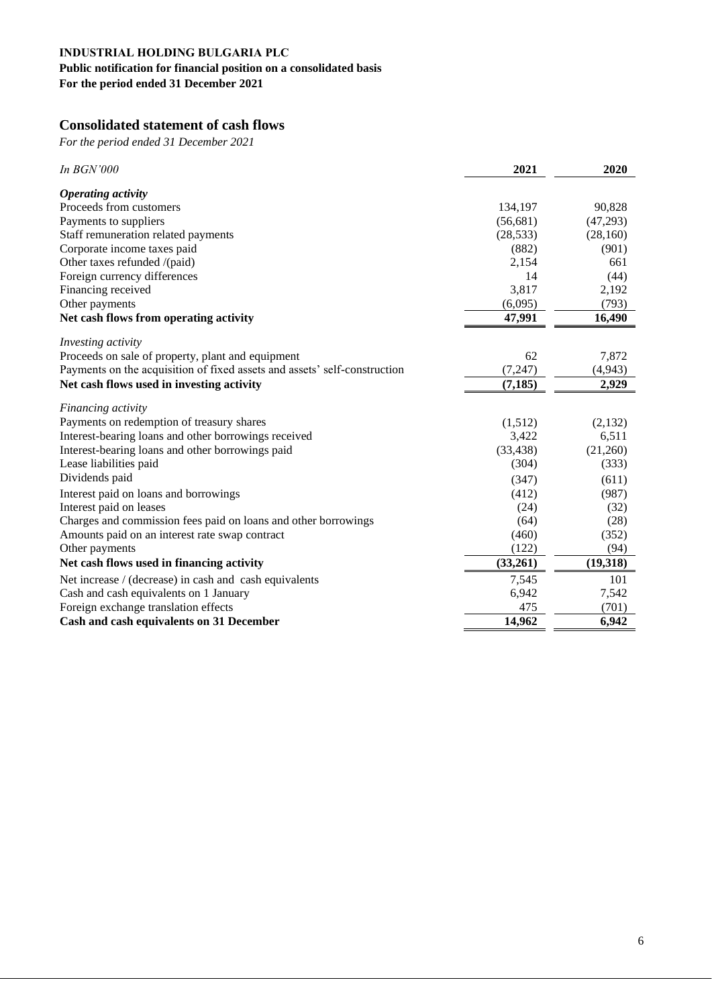# **Public notification for financial position on a consolidated basis**

**For the period ended 31 December 2021**

# **Consolidated statement of cash flows**

| In <b>BGN'000</b>                                                         | 2021      | 2020     |
|---------------------------------------------------------------------------|-----------|----------|
| <b>Operating activity</b>                                                 |           |          |
| Proceeds from customers                                                   | 134,197   | 90,828   |
| Payments to suppliers                                                     | (56,681)  | (47,293) |
| Staff remuneration related payments                                       | (28, 533) | (28,160) |
| Corporate income taxes paid                                               | (882)     | (901)    |
| Other taxes refunded /(paid)                                              | 2,154     | 661      |
| Foreign currency differences                                              | 14        | (44)     |
| Financing received                                                        | 3,817     | 2,192    |
| Other payments                                                            | (6,095)   | (793)    |
| Net cash flows from operating activity                                    | 47,991    | 16,490   |
| Investing activity                                                        |           |          |
| Proceeds on sale of property, plant and equipment                         | 62        | 7,872    |
| Payments on the acquisition of fixed assets and assets' self-construction | (7, 247)  | (4,943)  |
| Net cash flows used in investing activity                                 | (7, 185)  | 2,929    |
| Financing activity                                                        |           |          |
| Payments on redemption of treasury shares                                 | (1,512)   | (2,132)  |
| Interest-bearing loans and other borrowings received                      | 3,422     | 6,511    |
| Interest-bearing loans and other borrowings paid                          | (33, 438) | (21,260) |
| Lease liabilities paid                                                    | (304)     | (333)    |
| Dividends paid                                                            | (347)     | (611)    |
| Interest paid on loans and borrowings                                     | (412)     | (987)    |
| Interest paid on leases                                                   | (24)      | (32)     |
| Charges and commission fees paid on loans and other borrowings            | (64)      | (28)     |
| Amounts paid on an interest rate swap contract                            | (460)     | (352)    |
| Other payments                                                            | (122)     | (94)     |
| Net cash flows used in financing activity                                 | (33,261)  | (19,318) |
| Net increase / (decrease) in cash and cash equivalents                    | 7,545     | 101      |
| Cash and cash equivalents on 1 January                                    | 6,942     | 7,542    |
| Foreign exchange translation effects                                      | 475       | (701)    |
| Cash and cash equivalents on 31 December                                  | 14,962    | 6,942    |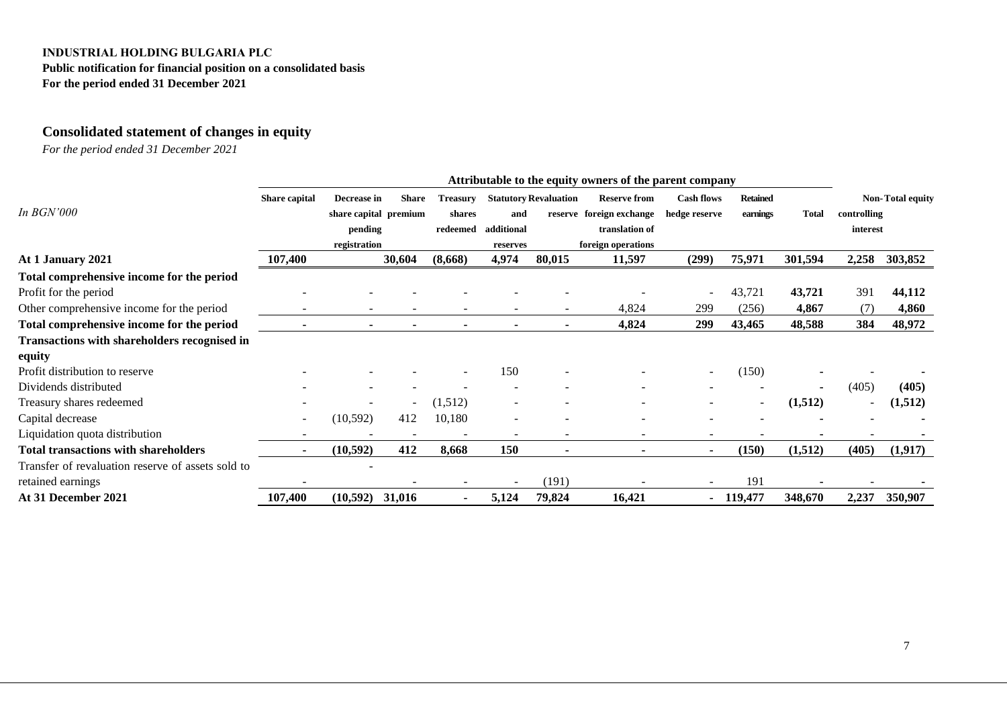**Public notification for financial position on a consolidated basis For the period ended 31 December 2021**

# **Consolidated statement of changes in equity**

|                                                   | Attributable to the equity owners of the parent company |                       |              |                          |                          |                              |                          |                          |                 |              |             |                         |
|---------------------------------------------------|---------------------------------------------------------|-----------------------|--------------|--------------------------|--------------------------|------------------------------|--------------------------|--------------------------|-----------------|--------------|-------------|-------------------------|
|                                                   | Share capital                                           | Decrease in           | <b>Share</b> | <b>Treasury</b>          |                          | <b>Statutory Revaluation</b> | <b>Reserve from</b>      | <b>Cash flows</b>        | <b>Retained</b> |              |             | <b>Non-Total equity</b> |
| In <b>BGN'000</b>                                 |                                                         | share capital premium |              | shares                   | and                      |                              | reserve foreign exchange | hedge reserve            | earnings        | <b>Total</b> | controlling |                         |
|                                                   |                                                         | pending               |              | redeemed                 | additional               |                              | translation of           |                          |                 |              | interest    |                         |
|                                                   |                                                         | registration          |              |                          | reserves                 |                              | foreign operations       |                          |                 |              |             |                         |
| At 1 January 2021                                 | 107,400                                                 |                       | 30,604       | (8,668)                  | 4,974                    | 80,015                       | 11,597                   | (299)                    | 75,971          | 301,594      | 2,258       | 303,852                 |
| Total comprehensive income for the period         |                                                         |                       |              |                          |                          |                              |                          |                          |                 |              |             |                         |
| Profit for the period                             |                                                         |                       |              |                          |                          |                              |                          | $\overline{\phantom{a}}$ | 43,721          | 43,721       | 391         | 44,112                  |
| Other comprehensive income for the period         |                                                         |                       |              |                          |                          |                              | 4,824                    | 299                      | (256)           | 4,867        | (7)         | 4,860                   |
| Total comprehensive income for the period         |                                                         |                       |              |                          |                          |                              | 4,824                    | 299                      | 43,465          | 48,588       | 384         | 48,972                  |
| Transactions with shareholders recognised in      |                                                         |                       |              |                          |                          |                              |                          |                          |                 |              |             |                         |
| equity                                            |                                                         |                       |              |                          |                          |                              |                          |                          |                 |              |             |                         |
| Profit distribution to reserve                    |                                                         |                       |              |                          | 150                      |                              |                          | $\overline{\phantom{a}}$ | (150)           |              |             |                         |
| Dividends distributed                             |                                                         |                       |              |                          |                          |                              |                          |                          |                 |              | (405)       | (405)                   |
| Treasury shares redeemed                          |                                                         |                       |              | (1,512)                  |                          |                              |                          |                          |                 | (1,512)      |             | (1,512)                 |
| Capital decrease                                  | $\overline{\phantom{a}}$                                | (10, 592)             | 412          | 10,180                   | $\overline{\phantom{a}}$ |                              |                          |                          |                 |              |             |                         |
| Liquidation quota distribution                    |                                                         |                       |              |                          |                          |                              |                          |                          |                 |              |             |                         |
| <b>Total transactions with shareholders</b>       |                                                         | (10, 592)             | 412          | 8,668                    | 150                      | $\blacksquare$               |                          | $\blacksquare$           | (150)           | (1,512)      | (405)       | (1,917)                 |
| Transfer of revaluation reserve of assets sold to |                                                         |                       |              |                          |                          |                              |                          |                          |                 |              |             |                         |
| retained earnings                                 |                                                         |                       |              |                          |                          | (191)                        |                          |                          | 191             |              |             |                         |
| At 31 December 2021                               | 107,400                                                 | (10, 592)             | 31,016       | $\overline{\phantom{a}}$ | 5,124                    | 79,824                       | 16,421                   | ۰                        | 119,477         | 348,670      | 2,237       | 350,907                 |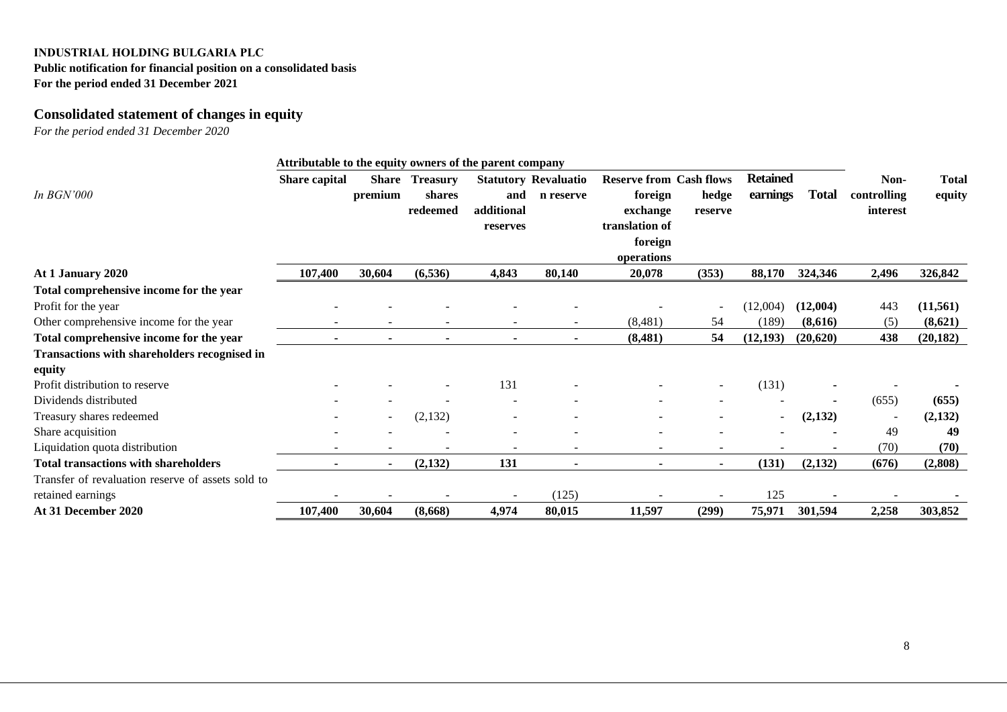### **Public notification for financial position on a consolidated basis For the period ended 31 December 2021**

# **Consolidated statement of changes in equity**

|                                                               | Attributable to the equity owners of the parent company |                          |                                       |                               |                                          |                                                                                                  |                  |                             |              |                                 |                        |
|---------------------------------------------------------------|---------------------------------------------------------|--------------------------|---------------------------------------|-------------------------------|------------------------------------------|--------------------------------------------------------------------------------------------------|------------------|-----------------------------|--------------|---------------------------------|------------------------|
| In <b>BGN'000</b>                                             | Share capital                                           | <b>Share</b><br>premium  | <b>Treasury</b><br>shares<br>redeemed | and<br>additional<br>reserves | <b>Statutory Revaluatio</b><br>n reserve | <b>Reserve from Cash flows</b><br>foreign<br>exchange<br>translation of<br>foreign<br>operations | hedge<br>reserve | <b>Retained</b><br>earnings | <b>Total</b> | Non-<br>controlling<br>interest | <b>Total</b><br>equity |
| At 1 January 2020                                             | 107,400                                                 | 30,604                   | (6, 536)                              | 4,843                         | 80,140                                   | 20,078                                                                                           | (353)            | 88,170                      | 324,346      | 2,496                           | 326,842                |
| Total comprehensive income for the year                       |                                                         |                          |                                       |                               |                                          |                                                                                                  |                  |                             |              |                                 |                        |
| Profit for the year                                           |                                                         |                          |                                       |                               |                                          |                                                                                                  |                  | (12,004)                    | (12,004)     | 443                             | (11, 561)              |
| Other comprehensive income for the year                       |                                                         |                          |                                       |                               |                                          | (8,481)                                                                                          | 54               | (189)                       | (8,616)      | (5)                             | (8,621)                |
| Total comprehensive income for the year                       |                                                         |                          |                                       |                               |                                          | (8, 481)                                                                                         | 54               | (12, 193)                   | (20,620)     | 438                             | (20, 182)              |
| <b>Transactions with shareholders recognised in</b><br>equity |                                                         |                          |                                       |                               |                                          |                                                                                                  |                  |                             |              |                                 |                        |
| Profit distribution to reserve                                |                                                         |                          |                                       | 131                           |                                          |                                                                                                  |                  | (131)                       |              |                                 |                        |
| Dividends distributed                                         |                                                         |                          |                                       |                               |                                          |                                                                                                  |                  |                             |              | (655)                           | (655)                  |
| Treasury shares redeemed                                      |                                                         | $\overline{\phantom{a}}$ | (2,132)                               |                               |                                          |                                                                                                  |                  |                             | (2,132)      |                                 | (2,132)                |
| Share acquisition                                             |                                                         |                          |                                       |                               |                                          |                                                                                                  |                  |                             |              | 49                              | 49                     |
| Liquidation quota distribution                                |                                                         |                          |                                       |                               | $\overline{\phantom{a}}$                 | $\overline{\phantom{0}}$                                                                         |                  |                             |              | (70)                            | (70)                   |
| <b>Total transactions with shareholders</b>                   | $\blacksquare$                                          | $\blacksquare$           | (2,132)                               | 131                           | $\blacksquare$                           | $\blacksquare$                                                                                   |                  | (131)                       | (2,132)      | (676)                           | (2,808)                |
| Transfer of revaluation reserve of assets sold to             |                                                         |                          |                                       |                               |                                          |                                                                                                  |                  |                             |              |                                 |                        |
| retained earnings                                             |                                                         |                          |                                       |                               | (125)                                    |                                                                                                  |                  | 125                         |              |                                 |                        |
| At 31 December 2020                                           | 107,400                                                 | 30,604                   | (8,668)                               | 4,974                         | 80,015                                   | 11,597                                                                                           | (299)            | 75,971                      | 301,594      | 2,258                           | 303,852                |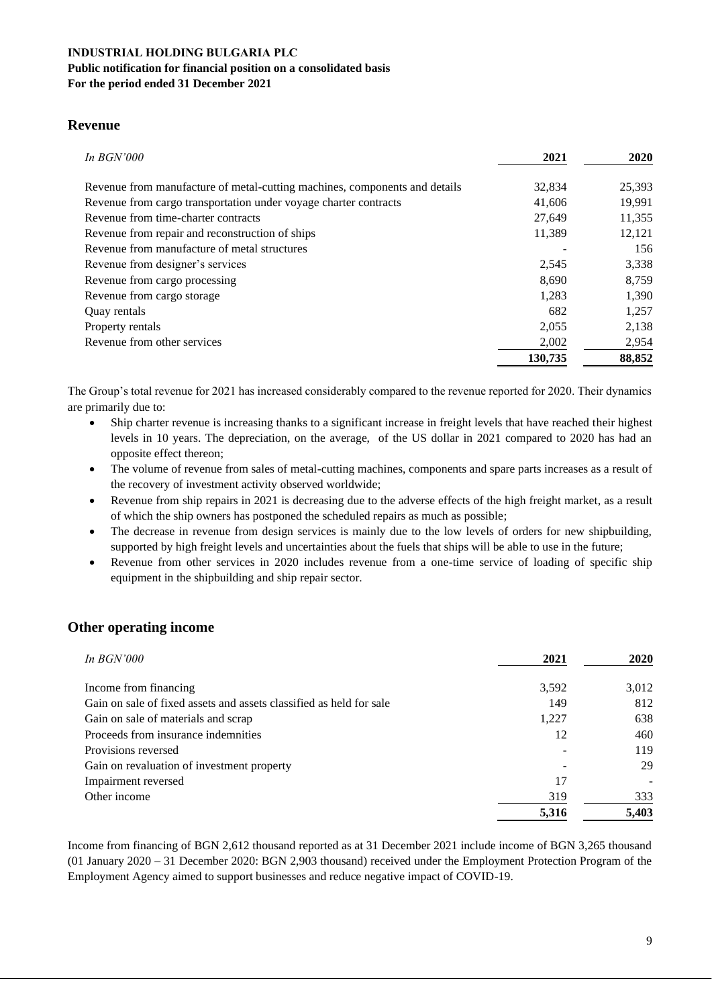#### **INDUSTRIAL HOLDING BULGARIA PLC Public notification for financial position on a consolidated basis For the period ended 31 December 2021**

#### **Revenue**

| In $BGN'000$                                                               | 2021    | 2020   |
|----------------------------------------------------------------------------|---------|--------|
| Revenue from manufacture of metal-cutting machines, components and details | 32,834  | 25,393 |
| Revenue from cargo transportation under voyage charter contracts           | 41,606  | 19,991 |
| Revenue from time-charter contracts                                        | 27.649  | 11,355 |
| Revenue from repair and reconstruction of ships                            | 11,389  | 12,121 |
| Revenue from manufacture of metal structures                               |         | 156    |
| Revenue from designer's services                                           | 2,545   | 3,338  |
| Revenue from cargo processing                                              | 8,690   | 8,759  |
| Revenue from cargo storage                                                 | 1.283   | 1,390  |
| Quay rentals                                                               | 682     | 1.257  |
| Property rentals                                                           | 2,055   | 2,138  |
| Revenue from other services                                                | 2,002   | 2,954  |
|                                                                            | 130,735 | 88,852 |

The Group's total revenue for 2021 has increased considerably compared to the revenue reported for 2020. Their dynamics are primarily due to:

- Ship charter revenue is increasing thanks to a significant increase in freight levels that have reached their highest levels in 10 years. The depreciation, on the average, of the US dollar in 2021 compared to 2020 has had an opposite effect thereon;
- The volume of revenue from sales of metal-cutting machines, components and spare parts increases as a result of the recovery of investment activity observed worldwide;
- Revenue from ship repairs in 2021 is decreasing due to the adverse effects of the high freight market, as a result of which the ship owners has postponed the scheduled repairs as much as possible;
- The decrease in revenue from design services is mainly due to the low levels of orders for new shipbuilding, supported by high freight levels and uncertainties about the fuels that ships will be able to use in the future;
- Revenue from other services in 2020 includes revenue from a one-time service of loading of specific ship equipment in the shipbuilding and ship repair sector.

# **Other operating income**

| In $BGN'000$                                                        | 2021  | <b>2020</b> |
|---------------------------------------------------------------------|-------|-------------|
| Income from financing                                               | 3,592 | 3,012       |
| Gain on sale of fixed assets and assets classified as held for sale | 149   | 812         |
| Gain on sale of materials and scrap                                 | 1,227 | 638         |
| Proceeds from insurance indemnities                                 | 12    | 460         |
| Provisions reversed                                                 |       | 119         |
| Gain on revaluation of investment property                          |       | 29          |
| Impairment reversed                                                 | 17    |             |
| Other income                                                        | 319   | 333         |
|                                                                     | 5,316 | 5,403       |

Income from financing of BGN 2,612 thousand reported as at 31 December 2021 include income of BGN 3,265 thousand (01 January 2020 – 31 December 2020: BGN 2,903 thousand) received under the Employment Protection Program of the Employment Agency aimed to support businesses and reduce negative impact of COVID-19.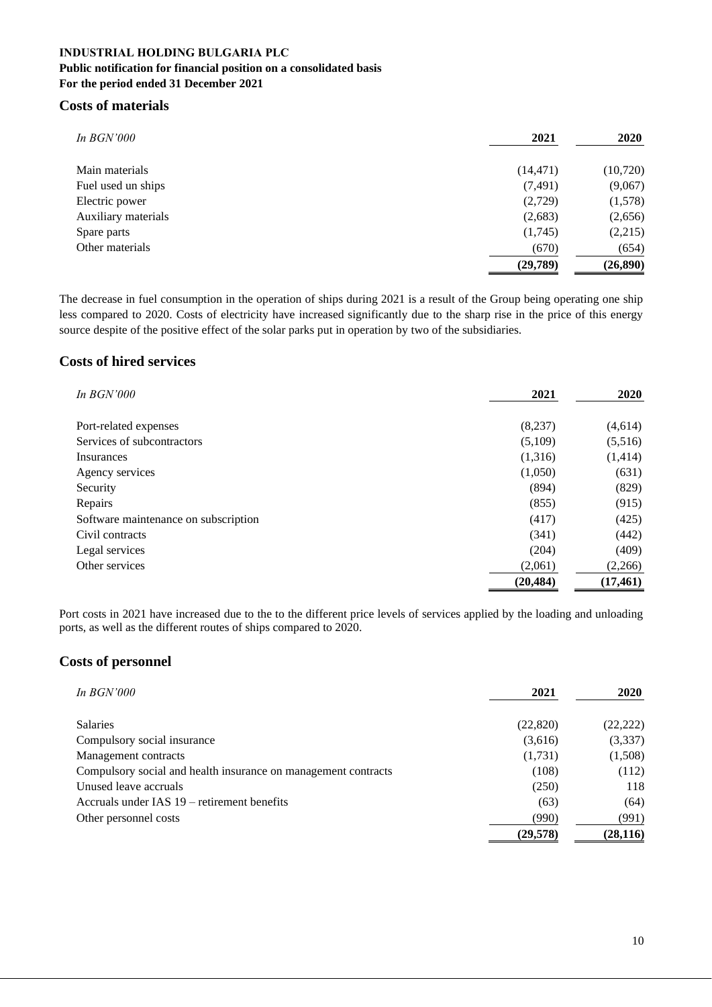### **INDUSTRIAL HOLDING BULGARIA PLC Public notification for financial position on a consolidated basis For the period ended 31 December 2021**

### **Costs of materials**

| $In\,BGN'000$       | 2021      | 2020      |
|---------------------|-----------|-----------|
| Main materials      | (14, 471) | (10, 720) |
| Fuel used un ships  | (7, 491)  | (9,067)   |
| Electric power      | (2,729)   | (1,578)   |
| Auxiliary materials | (2,683)   | (2,656)   |
| Spare parts         | (1,745)   | (2,215)   |
| Other materials     | (670)     | (654)     |
|                     | (29,789)  | (26, 890) |

The decrease in fuel consumption in the operation of ships during 2021 is a result of the Group being operating one ship less compared to 2020. Costs of electricity have increased significantly due to the sharp rise in the price of this energy source despite of the positive effect of the solar parks put in operation by two of the subsidiaries.

# **Costs of hired services**

| In <b>BGN'000</b>                    | 2021      | 2020      |
|--------------------------------------|-----------|-----------|
| Port-related expenses                | (8,237)   | (4,614)   |
| Services of subcontractors           | (5,109)   | (5,516)   |
| Insurances                           | (1,316)   | (1, 414)  |
| Agency services                      | (1,050)   | (631)     |
| Security                             | (894)     | (829)     |
| Repairs                              | (855)     | (915)     |
| Software maintenance on subscription | (417)     | (425)     |
| Civil contracts                      | (341)     | (442)     |
| Legal services                       | (204)     | (409)     |
| Other services                       | (2,061)   | (2,266)   |
|                                      | (20, 484) | (17, 461) |

Port costs in 2021 have increased due to the to the different price levels of services applied by the loading and unloading ports, as well as the different routes of ships compared to 2020.

# **Costs of personnel**

| In $BGN'000$                                                   | 2021      | <b>2020</b> |
|----------------------------------------------------------------|-----------|-------------|
| <b>Salaries</b>                                                | (22,820)  | (22, 222)   |
| Compulsory social insurance                                    | (3,616)   | (3,337)     |
| Management contracts                                           | (1,731)   | (1,508)     |
| Compulsory social and health insurance on management contracts | (108)     | (112)       |
| Unused leave accruals                                          | (250)     | 118         |
| Accruals under IAS 19 – retirement benefits                    | (63)      | (64)        |
| Other personnel costs                                          | (990)     | (991)       |
|                                                                | (29, 578) | (28, 116)   |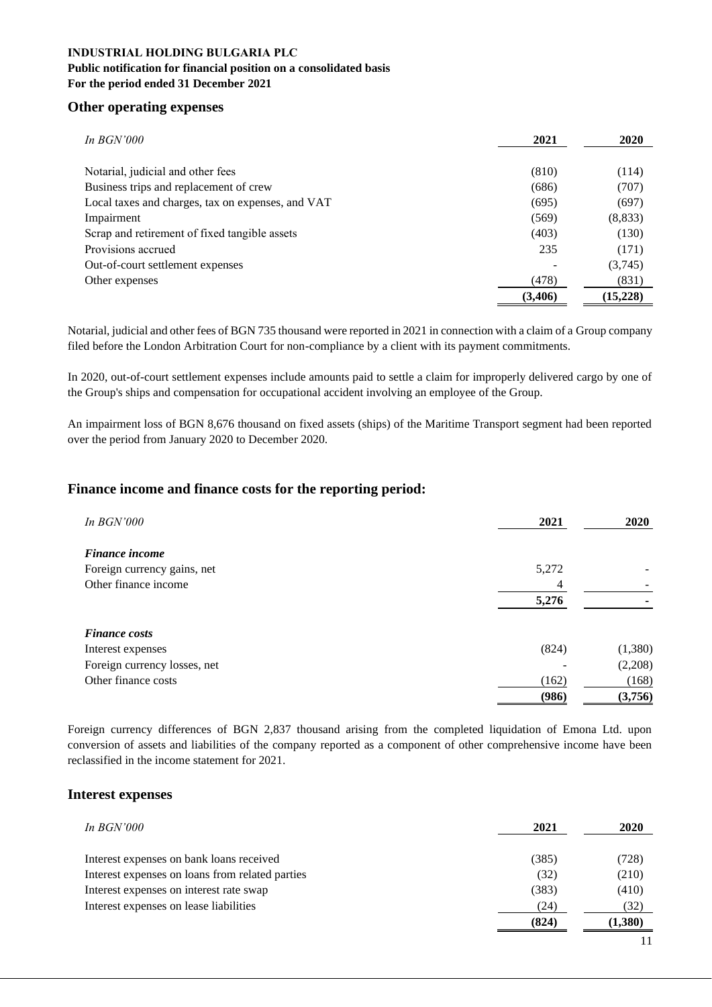#### **Public notification for financial position on a consolidated basis For the period ended 31 December 2021**

#### **Other operating expenses**

| In $BGN'000$                                      | 2021     | 2020      |
|---------------------------------------------------|----------|-----------|
|                                                   |          |           |
| Notarial, judicial and other fees                 | (810)    | (114)     |
| Business trips and replacement of crew            | (686)    | (707)     |
| Local taxes and charges, tax on expenses, and VAT | (695)    | (697)     |
| Impairment                                        | (569)    | (8,833)   |
| Scrap and retirement of fixed tangible assets     | (403)    | (130)     |
| Provisions accrued                                | 235      | (171)     |
| Out-of-court settlement expenses                  |          | (3,745)   |
| Other expenses                                    | (478)    | (831)     |
|                                                   | (3, 406) | (15, 228) |

Notarial, judicial and other fees of BGN 735 thousand were reported in 2021 in connection with a claim of a Group company filed before the London Arbitration Court for non-compliance by a client with its payment commitments.

In 2020, out-of-court settlement expenses include amounts paid to settle a claim for improperly delivered cargo by one of the Group's ships and compensation for occupational accident involving an employee of the Group.

An impairment loss of BGN 8,676 thousand on fixed assets (ships) of the Maritime Transport segment had been reported over the period from January 2020 to December 2020.

### **Finance income and finance costs for the reporting period:**

| <i>In BGN'000</i>            | 2021  | <b>2020</b> |
|------------------------------|-------|-------------|
| <b>Finance income</b>        |       |             |
| Foreign currency gains, net  | 5,272 |             |
| Other finance income         | 4     |             |
|                              | 5,276 |             |
|                              |       |             |
| <b>Finance costs</b>         |       |             |
| Interest expenses            | (824) | (1,380)     |
| Foreign currency losses, net |       | (2,208)     |
| Other finance costs          | (162) | (168)       |
|                              | (986) | (3,756)     |

Foreign currency differences of BGN 2,837 thousand arising from the completed liquidation of Emona Ltd. upon conversion of assets and liabilities of the company reported as a component of other comprehensive income have been reclassified in the income statement for 2021.

#### **Interest expenses**

| In $BGN'000$                                    | 2021  | 2020    |
|-------------------------------------------------|-------|---------|
| Interest expenses on bank loans received        | (385) | (728)   |
| Interest expenses on loans from related parties | (32)  | (210)   |
| Interest expenses on interest rate swap         | (383) | (410)   |
| Interest expenses on lease liabilities          | (24)  | (32)    |
|                                                 | (824) | (1,380) |
|                                                 |       |         |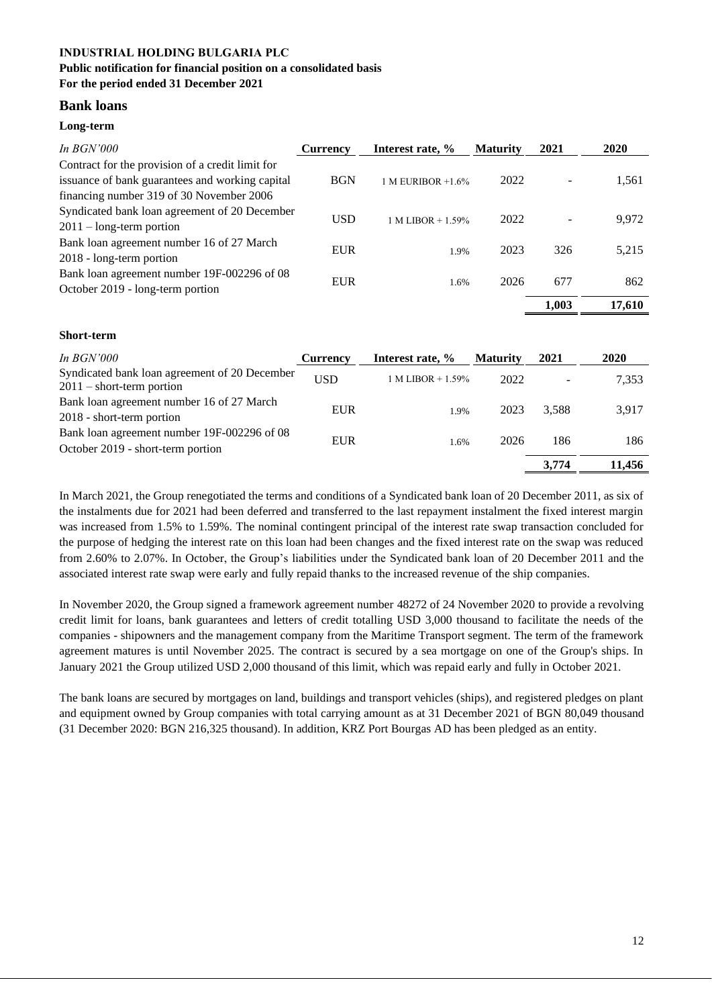#### **INDUSTRIAL HOLDING BULGARIA PLC Public notification for financial position on a consolidated basis**

#### **For the period ended 31 December 2021**

# **Bank loans**

### **Long-term**

**Short-term** 

| In $BGN'000$                                     | Currency   | Interest rate, %     | <b>Maturity</b> | 2021  | 2020   |
|--------------------------------------------------|------------|----------------------|-----------------|-------|--------|
| Contract for the provision of a credit limit for |            |                      |                 |       |        |
| issuance of bank guarantees and working capital  | <b>BGN</b> | 1 M EURIBOR $+1.6\%$ | 2022            |       | 1,561  |
| financing number 319 of 30 November 2006         |            |                      |                 |       |        |
| Syndicated bank loan agreement of 20 December    | USD        |                      | 2022            |       | 9,972  |
| $2011 - \text{long-term portion}$                |            | $1 M LIBOR + 1.59%$  |                 |       |        |
| Bank loan agreement number 16 of 27 March        | EUR        |                      | 2023            | 326   | 5,215  |
| 2018 - long-term portion                         |            | 1.9%                 |                 |       |        |
| Bank loan agreement number 19F-002296 of 08      | EUR        |                      | 2026            | 677   | 862    |
| October 2019 - long-term portion                 |            | 1.6%                 |                 |       |        |
|                                                  |            |                      |                 | 1.003 | 17,610 |

# *In BGN'000* **Currency Interest rate, % Maturity 2021 2020** Syndicated bank loan agreement of 20 December  $2011$  – short-term portion<br> $2011$  – short-term portion Bank loan agreement number 16 of 27 March 2018 - short-term portion<br>
2018 - short-term portion Bank loan agreement number 19F-002296 of 08 October 2019 - short-term portion EUR 1.6% <sup>2026</sup> <sup>186</sup> <sup>186</sup> **3,774 11,456**

In March 2021, the Group renegotiated the terms and conditions of a Syndicated bank loan of 20 December 2011, as six of the instalments due for 2021 had been deferred and transferred to the last repayment instalment the fixed interest margin was increased from 1.5% to 1.59%. The nominal contingent principal of the interest rate swap transaction concluded for the purpose of hedging the interest rate on this loan had been changes and the fixed interest rate on the swap was reduced from 2.60% to 2.07%. In October, the Group's liabilities under the Syndicated bank loan of 20 December 2011 and the associated interest rate swap were early and fully repaid thanks to the increased revenue of the ship companies.

In November 2020, the Group signed a framework agreement number 48272 of 24 November 2020 to provide a revolving credit limit for loans, bank guarantees and letters of credit totalling USD 3,000 thousand to facilitate the needs of the companies - shipowners and the management company from the Maritime Transport segment. The term of the framework agreement matures is until November 2025. The contract is secured by a sea mortgage on one of the Group's ships. In January 2021 the Group utilized USD 2,000 thousand of this limit, which was repaid early and fully in October 2021.

The bank loans are secured by mortgages on land, buildings and transport vehicles (ships), and registered pledges on plant and equipment owned by Group companies with total carrying amount as at 31 December 2021 of BGN 80,049 thousand (31 December 2020: BGN 216,325 thousand). In addition, KRZ Port Bourgas AD has been pledged as an entity.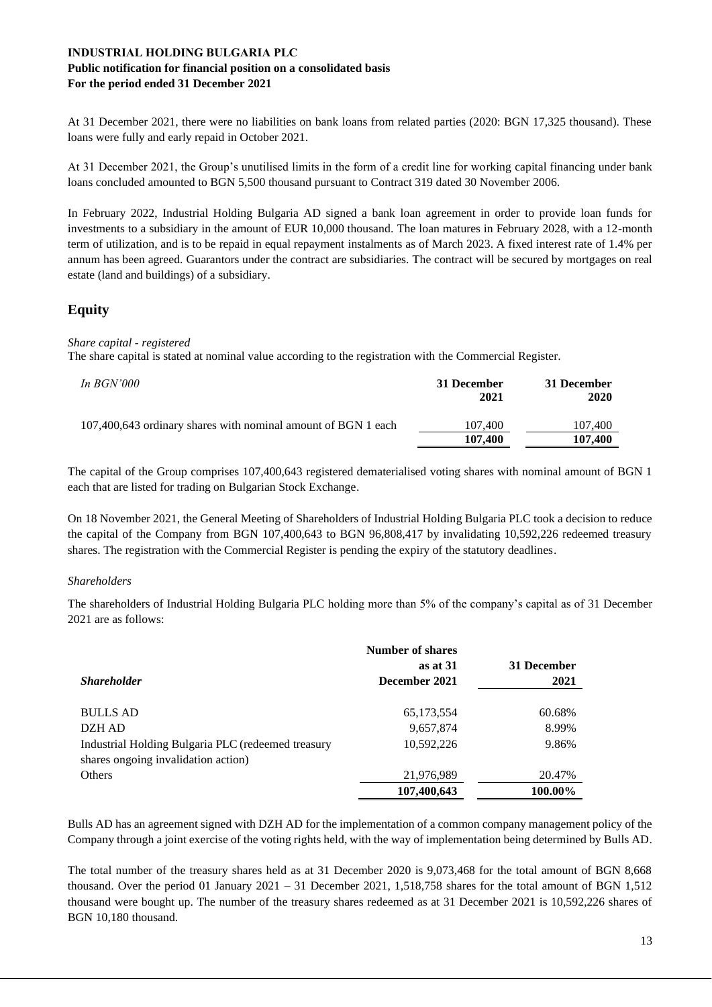#### **Public notification for financial position on a consolidated basis For the period ended 31 December 2021**

At 31 December 2021, there were no liabilities on bank loans from related parties (2020: BGN 17,325 thousand). These loans were fully and early repaid in October 2021.

At 31 December 2021, the Group's unutilised limits in the form of a credit line for working capital financing under bank loans concluded amounted to BGN 5,500 thousand pursuant to Contract 319 dated 30 November 2006.

In February 2022, Industrial Holding Bulgaria AD signed a bank loan agreement in order to provide loan funds for investments to a subsidiary in the amount of EUR 10,000 thousand. The loan matures in February 2028, with a 12-month term of utilization, and is to be repaid in equal repayment instalments as of March 2023. A fixed interest rate of 1.4% per annum has been agreed. Guarantors under the contract are subsidiaries. The contract will be secured by mortgages on real estate (land and buildings) of a subsidiary.

# **Equity**

#### *Share capital - registered*

The share capital is stated at nominal value according to the registration with the Commercial Register.

| In $BGN'000$                                                  | 31 December<br>2021 | 31 December<br>2020 |
|---------------------------------------------------------------|---------------------|---------------------|
| 107,400,643 ordinary shares with nominal amount of BGN 1 each | 107.400<br>107,400  | 107,400<br>107.400  |

The capital of the Group comprises 107,400,643 registered dematerialised voting shares with nominal amount of BGN 1 each that are listed for trading on Bulgarian Stock Exchange.

On 18 November 2021, the General Meeting of Shareholders of Industrial Holding Bulgaria PLC took a decision to reduce the capital of the Company from BGN 107,400,643 to BGN 96,808,417 by invalidating 10,592,226 redeemed treasury shares. The registration with the Commercial Register is pending the expiry of the statutory deadlines.

#### *Shareholders*

The shareholders of Industrial Holding Bulgaria PLC holding more than 5% of the company's capital as of 31 December 2021 are as follows:

|                                                    | Number of shares |             |
|----------------------------------------------------|------------------|-------------|
|                                                    | as at 31         | 31 December |
| <b>Shareholder</b>                                 | December 2021    | 2021        |
|                                                    |                  |             |
| <b>BULLS AD</b>                                    | 65,173,554       | 60.68%      |
| DZH AD                                             | 9,657,874        | 8.99%       |
| Industrial Holding Bulgaria PLC (redeemed treasury | 10.592.226       | 9.86%       |
| shares ongoing invalidation action)                |                  |             |
| <b>Others</b>                                      | 21,976,989       | 20.47%      |
|                                                    | 107,400,643      | 100.00%     |

Bulls AD has an agreement signed with DZH AD for the implementation of a common company management policy of the Company through a joint exercise of the voting rights held, with the way of implementation being determined by Bulls AD.

The total number of the treasury shares held as at 31 December 2020 is 9,073,468 for the total amount of BGN 8,668 thousand. Over the period 01 January 2021 – 31 December 2021, 1,518,758 shares for the total amount of BGN 1,512 thousand were bought up. The number of the treasury shares redeemed as at 31 December 2021 is 10,592,226 shares of BGN 10,180 thousand.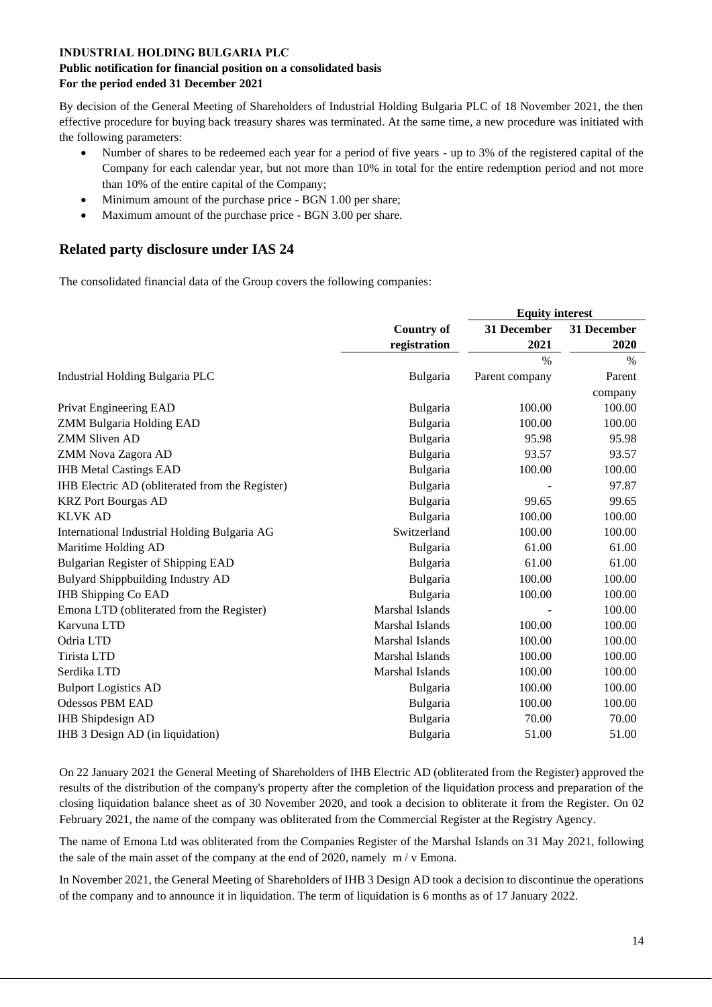#### **Public notification for financial position on a consolidated basis For the period ended 31 December 2021**

By decision of the General Meeting of Shareholders of Industrial Holding Bulgaria PLC of 18 November 2021, the then effective procedure for buying back treasury shares was terminated. At the same time, a new procedure was initiated with the following parameters:

- Number of shares to be redeemed each year for a period of five years up to 3% of the registered capital of the Company for each calendar year, but not more than 10% in total for the entire redemption period and not more than 10% of the entire capital of the Company;
- Minimum amount of the purchase price BGN 1.00 per share;
- Maximum amount of the purchase price BGN 3.00 per share.

# **Related party disclosure under IAS 24**

The consolidated financial data of the Group covers the following companies:

|                                                 |                   | <b>Equity interest</b> |               |
|-------------------------------------------------|-------------------|------------------------|---------------|
|                                                 | <b>Country of</b> | 31 December            | 31 December   |
|                                                 | registration      | 2021                   | 2020          |
|                                                 |                   | $\%$                   | $\frac{0}{0}$ |
| Industrial Holding Bulgaria PLC                 | Bulgaria          | Parent company         | Parent        |
|                                                 |                   |                        | company       |
| Privat Engineering EAD                          | <b>Bulgaria</b>   | 100.00                 | 100.00        |
| <b>ZMM Bulgaria Holding EAD</b>                 | Bulgaria          | 100.00                 | 100.00        |
| <b>ZMM Sliven AD</b>                            | Bulgaria          | 95.98                  | 95.98         |
| ZMM Nova Zagora AD                              | Bulgaria          | 93.57                  | 93.57         |
| <b>IHB Metal Castings EAD</b>                   | Bulgaria          | 100.00                 | 100.00        |
| IHB Electric AD (obliterated from the Register) | Bulgaria          |                        | 97.87         |
| <b>KRZ</b> Port Bourgas AD                      | Bulgaria          | 99.65                  | 99.65         |
| <b>KLVK AD</b>                                  | Bulgaria          | 100.00                 | 100.00        |
| International Industrial Holding Bulgaria AG    | Switzerland       | 100.00                 | 100.00        |
| Maritime Holding AD                             | <b>Bulgaria</b>   | 61.00                  | 61.00         |
| <b>Bulgarian Register of Shipping EAD</b>       | Bulgaria          | 61.00                  | 61.00         |
| Bulyard Shippbuilding Industry AD               | Bulgaria          | 100.00                 | 100.00        |
| <b>IHB Shipping Co EAD</b>                      | Bulgaria          | 100.00                 | 100.00        |
| Emona LTD (obliterated from the Register)       | Marshal Islands   |                        | 100.00        |
| Karvuna LTD                                     | Marshal Islands   | 100.00                 | 100.00        |
| Odria LTD                                       | Marshal Islands   | 100.00                 | 100.00        |
| Tirista LTD                                     | Marshal Islands   | 100.00                 | 100.00        |
| Serdika LTD                                     | Marshal Islands   | 100.00                 | 100.00        |
| <b>Bulport Logistics AD</b>                     | <b>Bulgaria</b>   | 100.00                 | 100.00        |
| <b>Odessos PBM EAD</b>                          | Bulgaria          | 100.00                 | 100.00        |
| <b>IHB</b> Shipdesign AD                        | Bulgaria          | 70.00                  | 70.00         |
| IHB 3 Design AD (in liquidation)                | Bulgaria          | 51.00                  | 51.00         |
|                                                 |                   |                        |               |

On 22 January 2021 the General Meeting of Shareholders of IHB Electric AD (obliterated from the Register) approved the results of the distribution of the company's property after the completion of the liquidation process and preparation of the closing liquidation balance sheet as of 30 November 2020, and took a decision to obliterate it from the Register. On 02 February 2021, the name of the company was obliterated from the Commercial Register at the Registry Agency.

The name of Emona Ltd was obliterated from the Companies Register of the Marshal Islands on 31 May 2021, following the sale of the main asset of the company at the end of 2020, namely m / v Emona.

In November 2021, the General Meeting of Shareholders of IHB 3 Design AD took a decision to discontinue the operations of the company and to announce it in liquidation. The term of liquidation is 6 months as of 17 January 2022.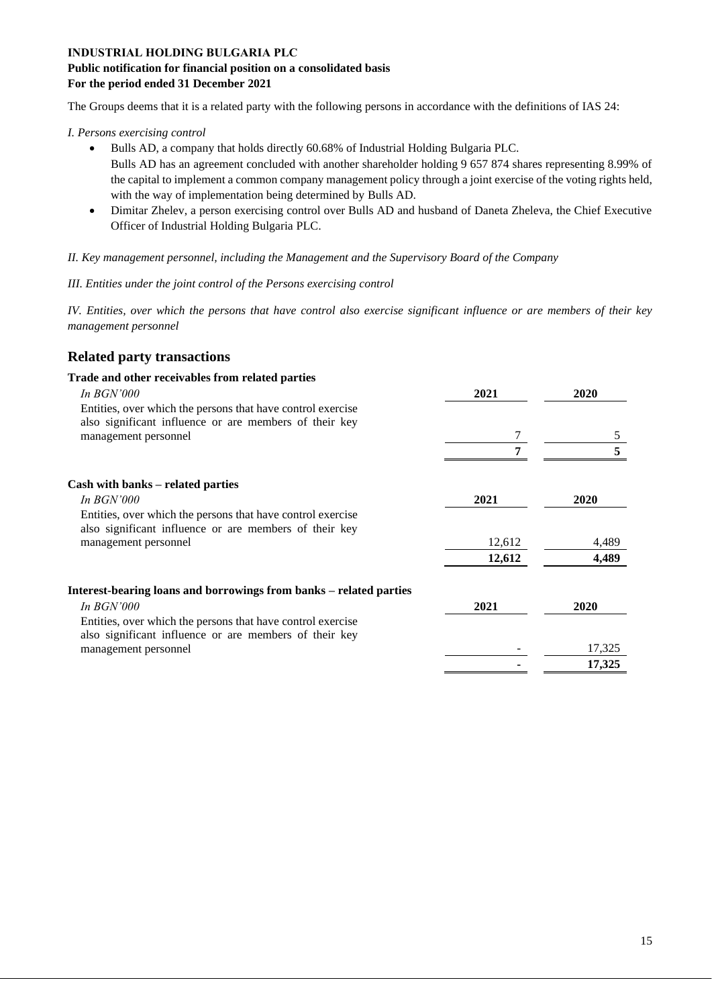#### **Public notification for financial position on a consolidated basis For the period ended 31 December 2021**

The Groups deems that it is a related party with the following persons in accordance with the definitions of IAS 24:

#### *I. Persons exercising control*

- Bulls AD, a company that holds directly 60.68% of Industrial Holding Bulgaria PLC. Bulls AD has an agreement concluded with another shareholder holding 9 657 874 shares representing 8.99% of the capital to implement a common company management policy through a joint exercise of the voting rights held, with the way of implementation being determined by Bulls AD.
- Dimitar Zhelev, a person exercising control over Bulls AD and husband of Daneta Zheleva, the Chief Executive Officer of Industrial Holding Bulgaria PLC.

#### *II. Key management personnel, including the Management and the Supervisory Board of the Company*

#### *III. Entities under the joint control of the Persons exercising control*

*IV. Entities, over which the persons that have control also exercise significant influence or are members of their key management personnel*

# **Related party transactions**

| Trade and other receivables from related parties                   |        |        |
|--------------------------------------------------------------------|--------|--------|
| <i>In BGN'000</i>                                                  | 2021   | 2020   |
| Entities, over which the persons that have control exercise        |        |        |
| also significant influence or are members of their key             |        |        |
| management personnel                                               | 7      | 5      |
|                                                                    | 7      | 5      |
| Cash with banks – related parties                                  |        |        |
| <i>In BGN'000</i>                                                  | 2021   | 2020   |
| Entities, over which the persons that have control exercise        |        |        |
| also significant influence or are members of their key             |        |        |
| management personnel                                               | 12,612 | 4,489  |
|                                                                    | 12,612 | 4,489  |
| Interest-bearing loans and borrowings from banks – related parties |        |        |
| <i>In BGN'000</i>                                                  | 2021   | 2020   |
| Entities, over which the persons that have control exercise        |        |        |
| also significant influence or are members of their key             |        |        |
| management personnel                                               |        | 17,325 |
|                                                                    |        | 17,325 |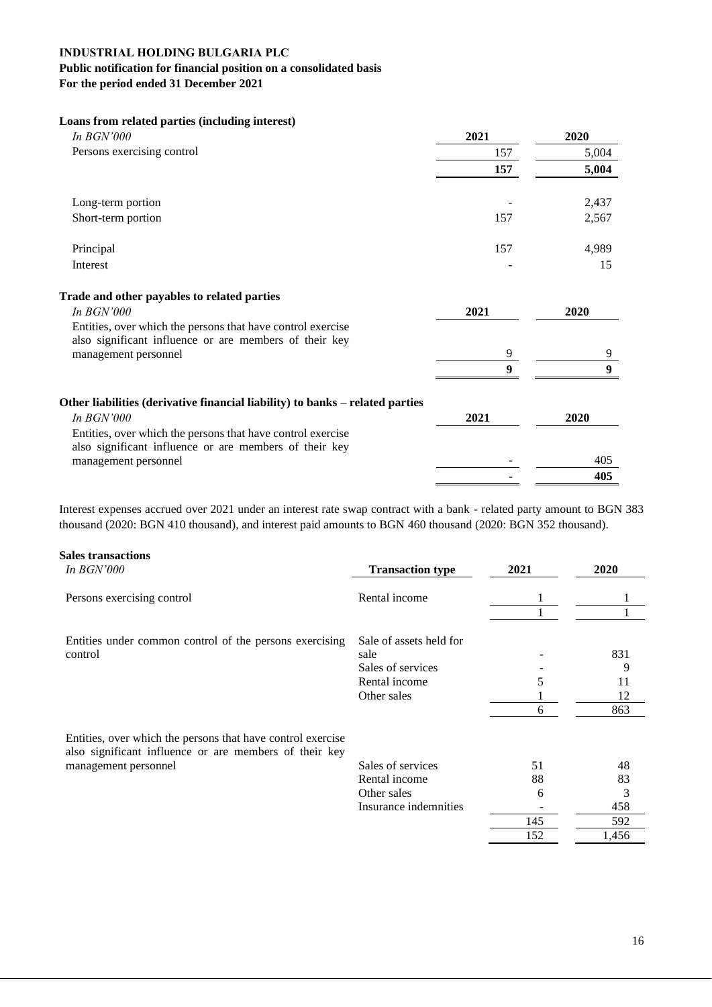### **Public notification for financial position on a consolidated basis For the period ended 31 December 2021**

| Loans from related parties (including interest)                                                                       |        |        |
|-----------------------------------------------------------------------------------------------------------------------|--------|--------|
| In $BGN'000$                                                                                                          | 2021   | 2020   |
| Persons exercising control                                                                                            | 157    | 5,004  |
|                                                                                                                       | 157    | 5,004  |
| Long-term portion                                                                                                     |        | 2,437  |
| Short-term portion                                                                                                    | 157    | 2,567  |
| Principal                                                                                                             | 157    | 4,989  |
| Interest                                                                                                              |        | 15     |
| Trade and other payables to related parties                                                                           |        |        |
| In $BGN'000$                                                                                                          | 2021   | 2020   |
| Entities, over which the persons that have control exercise                                                           |        |        |
| also significant influence or are members of their key                                                                |        |        |
| management personnel                                                                                                  | 9<br>9 | 9<br>9 |
|                                                                                                                       |        |        |
| Other liabilities (derivative financial liability) to banks – related parties                                         |        |        |
| In $BGN'000$                                                                                                          | 2021   | 2020   |
| Entities, over which the persons that have control exercise<br>also significant influence or are members of their key |        |        |
| management personnel                                                                                                  |        | 405    |
|                                                                                                                       |        | 405    |

Interest expenses accrued over 2021 under an interest rate swap contract with a bank - related party amount to BGN 383 thousand (2020: BGN 410 thousand), and interest paid amounts to BGN 460 thousand (2020: BGN 352 thousand).

#### **Sales transactions**

| In $BGN'000$                                                                                                          | <b>Transaction type</b> | 2021 | 2020  |
|-----------------------------------------------------------------------------------------------------------------------|-------------------------|------|-------|
| Persons exercising control                                                                                            | Rental income           |      |       |
|                                                                                                                       |                         |      |       |
| Entities under common control of the persons exercising                                                               | Sale of assets held for |      |       |
| control                                                                                                               | sale                    |      | 831   |
|                                                                                                                       | Sales of services       |      | 9     |
|                                                                                                                       | Rental income           |      | 11    |
|                                                                                                                       | Other sales             |      | 12    |
|                                                                                                                       |                         | 6    | 863   |
| Entities, over which the persons that have control exercise<br>also significant influence or are members of their key |                         |      |       |
| management personnel                                                                                                  | Sales of services       | 51   | 48    |
|                                                                                                                       | Rental income           | 88   | 83    |
|                                                                                                                       | Other sales             | 6    | 3     |
|                                                                                                                       | Insurance indemnities   |      | 458   |
|                                                                                                                       |                         | 145  | 592   |
|                                                                                                                       |                         | 152  | 1,456 |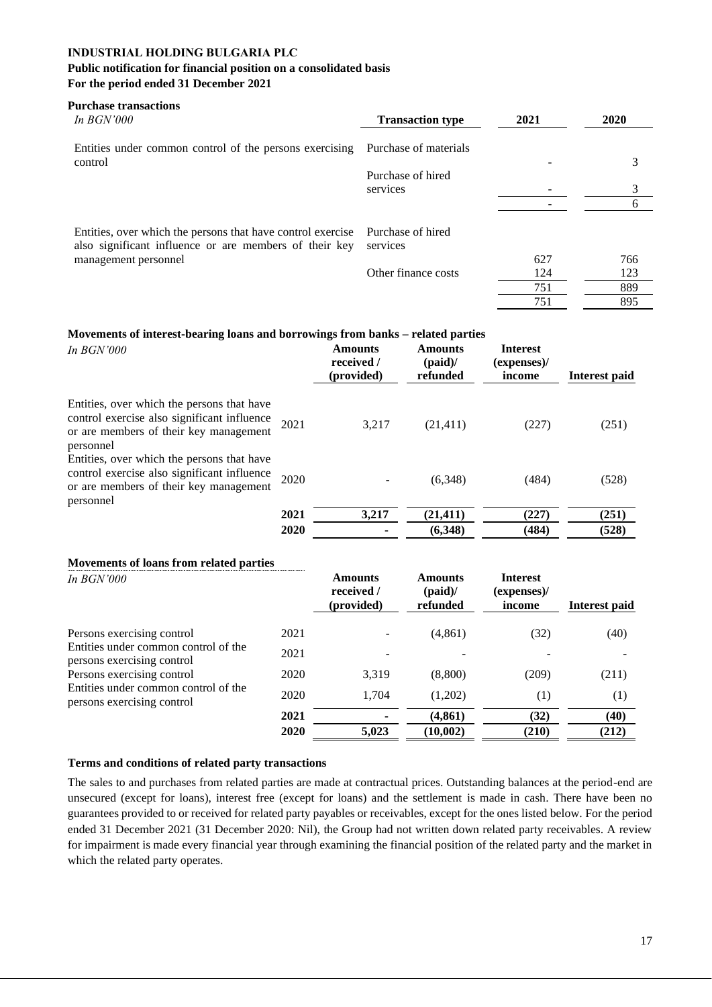# **Public notification for financial position on a consolidated basis**

**For the period ended 31 December 2021**

| <b>Purchase transactions</b><br>In $BGN'000$                                                                          | <b>Transaction type</b>       | 2021 | 2020 |
|-----------------------------------------------------------------------------------------------------------------------|-------------------------------|------|------|
| Entities under common control of the persons exercising                                                               | Purchase of materials         |      |      |
| control                                                                                                               | Purchase of hired             |      | 3    |
|                                                                                                                       | services                      |      | 3    |
|                                                                                                                       |                               |      | 6    |
| Entities, over which the persons that have control exercise<br>also significant influence or are members of their key | Purchase of hired<br>services |      |      |
| management personnel                                                                                                  |                               | 627  | 766  |
|                                                                                                                       | Other finance costs           | 124  | 123  |
|                                                                                                                       |                               | 751  | 889  |
|                                                                                                                       |                               | 751  | 895  |

#### **Movements of interest-bearing loans and borrowings from banks – related parties**

| In $BGN'000$                                                                                                                                     |      | <b>Amounts</b><br>received /<br>(provided) | <b>Amounts</b><br>(paid) $/$<br>refunded | <b>Interest</b><br>(expenses)<br>income | Interest paid |
|--------------------------------------------------------------------------------------------------------------------------------------------------|------|--------------------------------------------|------------------------------------------|-----------------------------------------|---------------|
| Entities, over which the persons that have<br>control exercise also significant influence<br>or are members of their key management<br>personnel | 2021 | 3.217                                      | (21, 411)                                | (227)                                   | (251)         |
| Entities, over which the persons that have<br>control exercise also significant influence<br>or are members of their key management<br>personnel | 2020 |                                            | (6,348)                                  | (484)                                   | (528)         |
|                                                                                                                                                  | 2021 | 3,217                                      | (21, 411)                                | (227)                                   | (251)         |
|                                                                                                                                                  | 2020 |                                            | (6,348)                                  | (484)                                   | (528)         |

#### **Movements of loans from related parties**

| In $BGN'000$                                                       |      | <b>Amounts</b><br>received /<br>(provided) | <b>Amounts</b><br>(paid) $/$<br>refunded | <b>Interest</b><br>(expenses)/<br>income | Interest paid |
|--------------------------------------------------------------------|------|--------------------------------------------|------------------------------------------|------------------------------------------|---------------|
| Persons exercising control                                         | 2021 |                                            | (4, 861)                                 | (32)                                     | (40)          |
| Entities under common control of the<br>persons exercising control | 2021 |                                            |                                          |                                          |               |
| Persons exercising control                                         | 2020 | 3,319                                      | (8,800)                                  | (209)                                    | (211)         |
| Entities under common control of the<br>persons exercising control | 2020 | 1.704                                      | (1,202)                                  | (1)                                      | (1)           |
|                                                                    | 2021 |                                            | (4, 861)                                 | (32)                                     | (40)          |
|                                                                    | 2020 | 5,023                                      | (10,002)                                 | (210)                                    | (212)         |

#### **Terms and conditions of related party transactions**

The sales to and purchases from related parties are made at contractual prices. Outstanding balances at the period-end are unsecured (except for loans), interest free (except for loans) and the settlement is made in cash. There have been no guarantees provided to or received for related party payables or receivables, except for the ones listed below. For the period ended 31 December 2021 (31 December 2020: Nil), the Group had not written down related party receivables. A review for impairment is made every financial year through examining the financial position of the related party and the market in which the related party operates.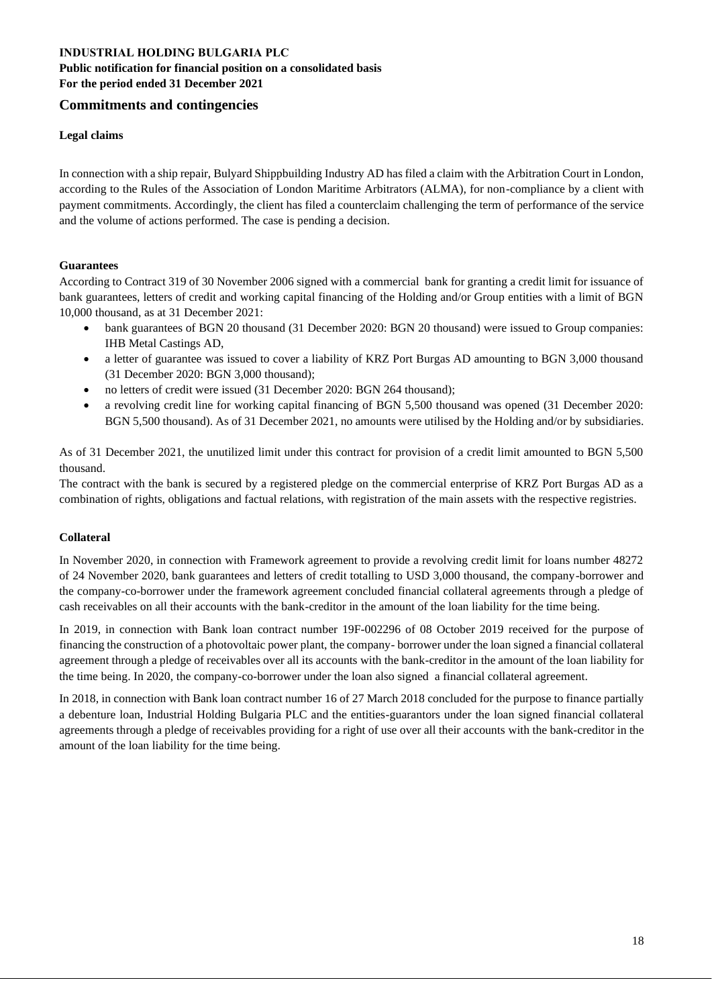#### **INDUSTRIAL HOLDING BULGARIA PLC Public notification for financial position on a consolidated basis For the period ended 31 December 2021**

#### **Commitments and contingencies**

#### **Legal claims**

In connection with a ship repair, Bulyard Shippbuilding Industry AD has filed a claim with the Arbitration Court in London, according to the Rules of the Association of London Maritime Arbitrators (ALMA), for non-compliance by a client with payment commitments. Accordingly, the client has filed a counterclaim challenging the term of performance of the service and the volume of actions performed. The case is pending a decision.

#### **Guarantees**

According to Contract 319 of 30 November 2006 signed with a commercial bank for granting a credit limit for issuance of bank guarantees, letters of credit and working capital financing of the Holding and/or Group entities with a limit of BGN 10,000 thousand, as at 31 December 2021:

- bank guarantees of BGN 20 thousand (31 December 2020: BGN 20 thousand) were issued to Group companies: IHB Metal Castings AD,
- a letter of guarantee was issued to cover a liability of KRZ Port Burgas AD amounting to BGN 3,000 thousand (31 December 2020: BGN 3,000 thousand);
- no letters of credit were issued (31 December 2020: BGN 264 thousand);
- a revolving credit line for working capital financing of BGN 5,500 thousand was opened (31 December 2020: BGN 5,500 thousand). As of 31 December 2021, no amounts were utilised by the Holding and/or by subsidiaries.

As of 31 December 2021, the unutilized limit under this contract for provision of a credit limit amounted to BGN 5,500 thousand.

The contract with the bank is secured by a registered pledge on the commercial enterprise of KRZ Port Burgas AD as a combination of rights, obligations and factual relations, with registration of the main assets with the respective registries.

#### **Collateral**

In November 2020, in connection with Framework agreement to provide a revolving credit limit for loans number 48272 of 24 November 2020, bank guarantees and letters of credit totalling to USD 3,000 thousand, the company-borrower and the company-co-borrower under the framework agreement concluded financial collateral agreements through a pledge of cash receivables on all their accounts with the bank-creditor in the amount of the loan liability for the time being.

In 2019, in connection with Bank loan contract number 19F-002296 of 08 October 2019 received for the purpose of financing the construction of a photovoltaic power plant, the company- borrower under the loan signed a financial collateral agreement through a pledge of receivables over all its accounts with the bank-creditor in the amount of the loan liability for the time being. In 2020, the company-co-borrower under the loan also signed a financial collateral agreement.

In 2018, in connection with Bank loan contract number 16 of 27 March 2018 concluded for the purpose to finance partially a debenture loan, Industrial Holding Bulgaria PLC and the entities-guarantors under the loan signed financial collateral agreements through a pledge of receivables providing for a right of use over all their accounts with the bank-creditor in the amount of the loan liability for the time being.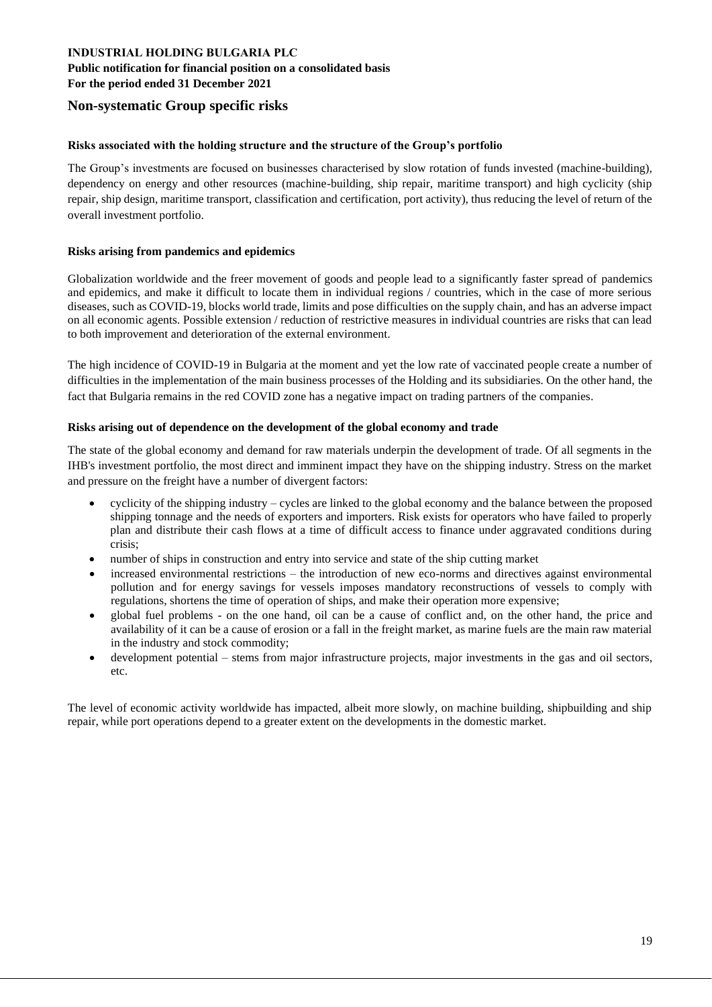# **Public notification for financial position on a consolidated basis**

**For the period ended 31 December 2021**

#### **Non-systematic Group specific risks**

#### **Risks associated with the holding structure and the structure of the Group's portfolio**

The Group's investments are focused on businesses characterised by slow rotation of funds invested (machine-building), dependency on energy and other resources (machine-building, ship repair, maritime transport) and high cyclicity (ship repair, ship design, maritime transport, classification and certification, port activity), thus reducing the level of return of the overall investment portfolio.

#### **Risks arising from pandemics and epidemics**

Globalization worldwide and the freer movement of goods and people lead to a significantly faster spread of pandemics and epidemics, and make it difficult to locate them in individual regions / countries, which in the case of more serious diseases, such as COVID-19, blocks world trade, limits and pose difficulties on the supply chain, and has an adverse impact on all economic agents. Possible extension / reduction of restrictive measures in individual countries are risks that can lead to both improvement and deterioration of the external environment.

The high incidence of COVID-19 in Bulgaria at the moment and yet the low rate of vaccinated people create a number of difficulties in the implementation of the main business processes of the Holding and its subsidiaries. On the other hand, the fact that Bulgaria remains in the red COVID zone has a negative impact on trading partners of the companies.

#### **Risks arising out of dependence on the development of the global economy and trade**

The state of the global economy and demand for raw materials underpin the development of trade. Of all segments in the IHB's investment portfolio, the most direct and imminent impact they have on the shipping industry. Stress on the market and pressure on the freight have a number of divergent factors:

- cyclicity of the shipping industry cycles are linked to the global economy and the balance between the proposed shipping tonnage and the needs of exporters and importers. Risk exists for operators who have failed to properly plan and distribute their cash flows at a time of difficult access to finance under aggravated conditions during crisis;
- number of ships in construction and entry into service and state of the ship cutting market
- increased environmental restrictions the introduction of new eco-norms and directives against environmental pollution and for energy savings for vessels imposes mandatory reconstructions of vessels to comply with regulations, shortens the time of operation of ships, and make their operation more expensive;
- global fuel problems on the one hand, oil can be a cause of conflict and, on the other hand, the price and availability of it can be a cause of erosion or a fall in the freight market, as marine fuels are the main raw material in the industry and stock commodity;
- development potential stems from major infrastructure projects, major investments in the gas and oil sectors, etc.

The level of economic activity worldwide has impacted, albeit more slowly, on machine building, shipbuilding and ship repair, while port operations depend to a greater extent on the developments in the domestic market.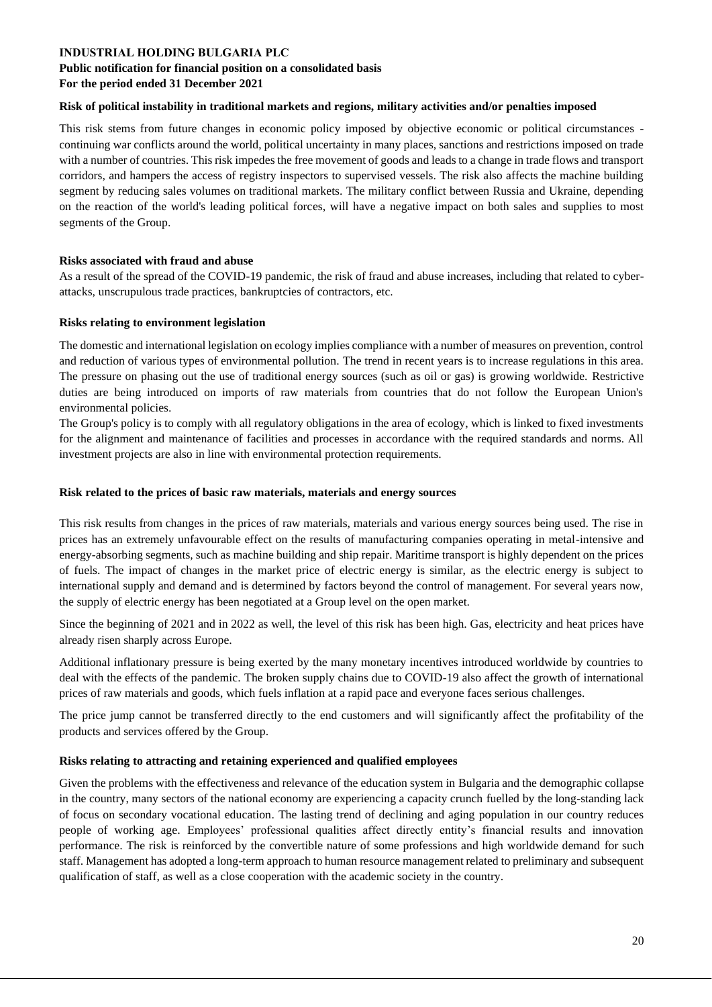#### **Public notification for financial position on a consolidated basis For the period ended 31 December 2021**

#### **Risk of political instability in traditional markets and regions, military activities and/or penalties imposed**

This risk stems from future changes in economic policy imposed by objective economic or political circumstances continuing war conflicts around the world, political uncertainty in many places, sanctions and restrictions imposed on trade with a number of countries. This risk impedes the free movement of goods and leads to a change in trade flows and transport corridors, and hampers the access of registry inspectors to supervised vessels. The risk also affects the machine building segment by reducing sales volumes on traditional markets. The military conflict between Russia and Ukraine, depending on the reaction of the world's leading political forces, will have a negative impact on both sales and supplies to most segments of the Group.

#### **Risks associated with fraud and abuse**

As a result of the spread of the COVID-19 pandemic, the risk of fraud and abuse increases, including that related to cyberattacks, unscrupulous trade practices, bankruptcies of contractors, etc.

#### **Risks relating to environment legislation**

The domestic and international legislation on ecology implies compliance with a number of measures on prevention, control and reduction of various types of environmental pollution. The trend in recent years is to increase regulations in this area. The pressure on phasing out the use of traditional energy sources (such as oil or gas) is growing worldwide. Restrictive duties are being introduced on imports of raw materials from countries that do not follow the European Union's environmental policies.

The Group's policy is to comply with all regulatory obligations in the area of ecology, which is linked to fixed investments for the alignment and maintenance of facilities and processes in accordance with the required standards and norms. All investment projects are also in line with environmental protection requirements.

#### **Risk related to the prices of basic raw materials, materials and energy sources**

This risk results from changes in the prices of raw materials, materials and various energy sources being used. The rise in prices has an extremely unfavourable effect on the results of manufacturing companies operating in metal-intensive and energy-absorbing segments, such as machine building and ship repair. Maritime transport is highly dependent on the prices of fuels. The impact of changes in the market price of electric energy is similar, as the electric energy is subject to international supply and demand and is determined by factors beyond the control of management. For several years now, the supply of electric energy has been negotiated at a Group level on the open market.

Since the beginning of 2021 and in 2022 as well, the level of this risk has been high. Gas, electricity and heat prices have already risen sharply across Europe.

Additional inflationary pressure is being exerted by the many monetary incentives introduced worldwide by countries to deal with the effects of the pandemic. The broken supply chains due to COVID-19 also affect the growth of international prices of raw materials and goods, which fuels inflation at a rapid pace and everyone faces serious challenges.

The price jump cannot be transferred directly to the end customers and will significantly affect the profitability of the products and services offered by the Group.

#### **Risks relating to attracting and retaining experienced and qualified employees**

Given the problems with the effectiveness and relevance of the education system in Bulgaria and the demographic collapse in the country, many sectors of the national economy are experiencing a capacity crunch fuelled by the long-standing lack of focus on secondary vocational education. The lasting trend of declining and aging population in our country reduces people of working age. Employees' professional qualities affect directly entity's financial results and innovation performance. The risk is reinforced by the convertible nature of some professions and high worldwide demand for such staff. Management has adopted a long-term approach to human resource management related to preliminary and subsequent qualification of staff, as well as a close cooperation with the academic society in the country.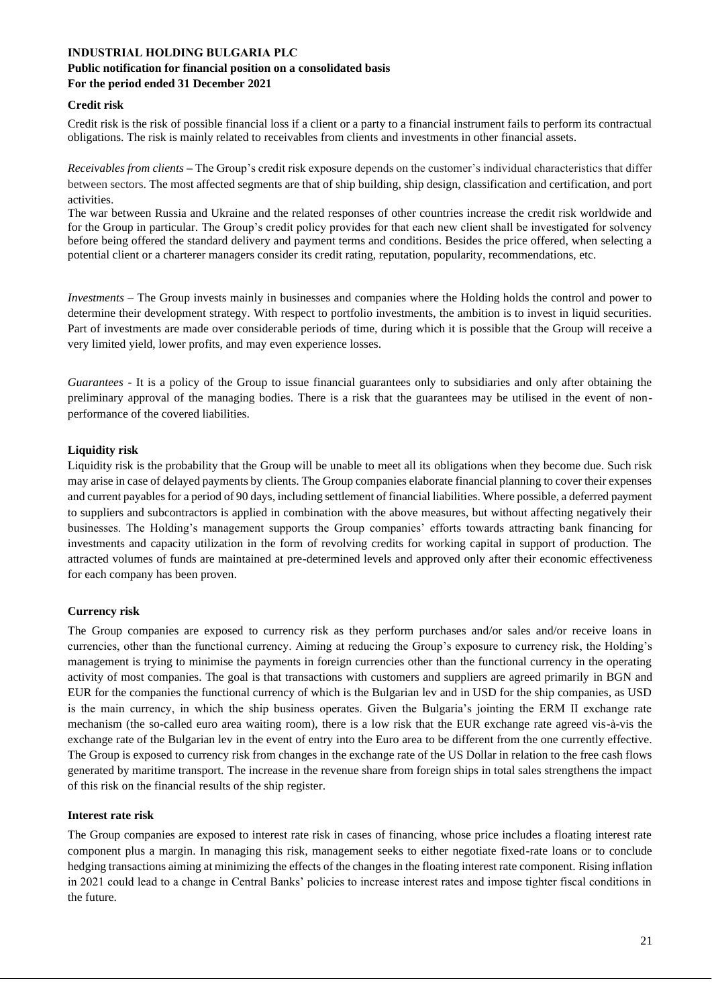#### **Public notification for financial position on a consolidated basis For the period ended 31 December 2021**

#### **Credit risk**

Credit risk is the risk of possible financial loss if a client or a party to a financial instrument fails to perform its contractual obligations. The risk is mainly related to receivables from clients and investments in other financial assets.

*Receivables from clients –* The Group's credit risk exposure depends on the customer's individual characteristics that differ between sectors. The most affected segments are that of ship building, ship design, classification and certification, and port activities.

The war between Russia and Ukraine and the related responses of other countries increase the credit risk worldwide and for the Group in particular. The Group's credit policy provides for that each new client shall be investigated for solvency before being offered the standard delivery and payment terms and conditions. Besides the price offered, when selecting a potential client or a charterer managers consider its credit rating, reputation, popularity, recommendations, etc.

*Investments –* The Group invests mainly in businesses and companies where the Holding holds the control and power to determine their development strategy. With respect to portfolio investments, the ambition is to invest in liquid securities. Part of investments are made over considerable periods of time, during which it is possible that the Group will receive a very limited yield, lower profits, and may even experience losses.

*Guarantees* - It is a policy of the Group to issue financial guarantees only to subsidiaries and only after obtaining the preliminary approval of the managing bodies. There is a risk that the guarantees may be utilised in the event of nonperformance of the covered liabilities.

#### **Liquidity risk**

Liquidity risk is the probability that the Group will be unable to meet all its obligations when they become due. Such risk may arise in case of delayed payments by clients. The Group companies elaborate financial planning to cover their expenses and current payables for a period of 90 days, including settlement of financial liabilities. Where possible, a deferred payment to suppliers and subcontractors is applied in combination with the above measures, but without affecting negatively their businesses. The Holding's management supports the Group companies' efforts towards attracting bank financing for investments and capacity utilization in the form of revolving credits for working capital in support of production. The attracted volumes of funds are maintained at pre-determined levels and approved only after their economic effectiveness for each company has been proven.

#### **Currency risk**

The Group companies are exposed to currency risk as they perform purchases and/or sales and/or receive loans in currencies, other than the functional currency. Aiming at reducing the Group's exposure to currency risk, the Holding's management is trying to minimise the payments in foreign currencies other than the functional currency in the operating activity of most companies. The goal is that transactions with customers and suppliers are agreed primarily in BGN and EUR for the companies the functional currency of which is the Bulgarian lev and in USD for the ship companies, as USD is the main currency, in which the ship business operates. Given the Bulgaria's jointing the ERM II exchange rate mechanism (the so-called euro area waiting room), there is a low risk that the EUR exchange rate agreed vis-à-vis the exchange rate of the Bulgarian lev in the event of entry into the Euro area to be different from the one currently effective. The Group is exposed to currency risk from changes in the exchange rate of the US Dollar in relation to the free cash flows generated by maritime transport. The increase in the revenue share from foreign ships in total sales strengthens the impact of this risk on the financial results of the ship register.

#### **Interest rate risk**

The Group companies are exposed to interest rate risk in cases of financing, whose price includes a floating interest rate component plus a margin. In managing this risk, management seeks to either negotiate fixed-rate loans or to conclude hedging transactions aiming at minimizing the effects of the changes in the floating interest rate component. Rising inflation in 2021 could lead to a change in Central Banks' policies to increase interest rates and impose tighter fiscal conditions in the future.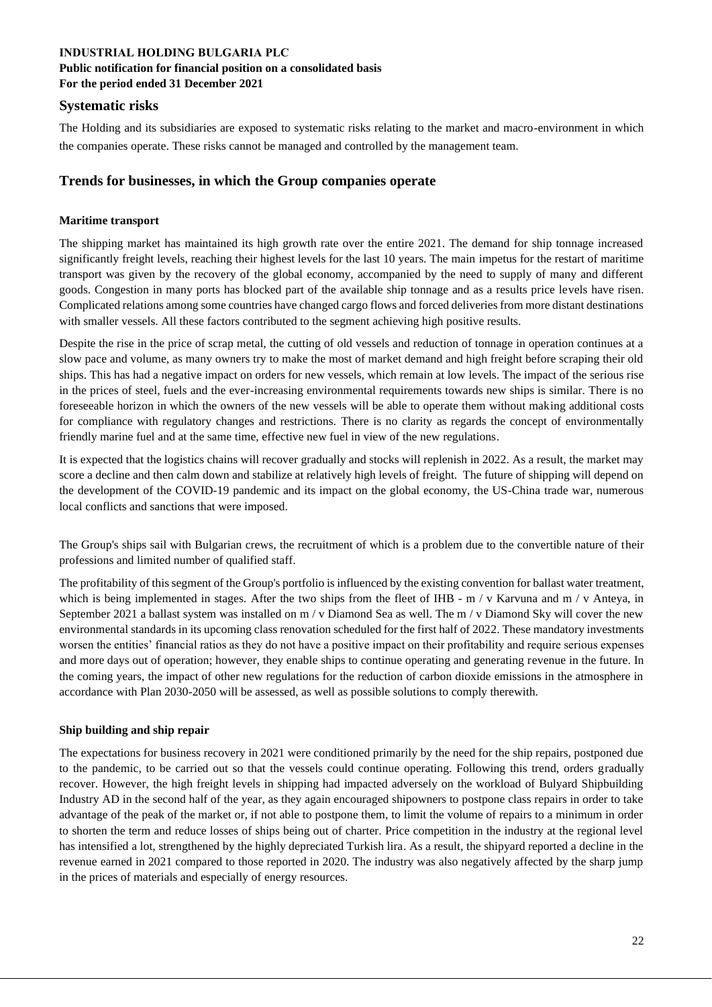#### **Public notification for financial position on a consolidated basis For the period ended 31 December 2021**

#### **Systematic risks**

The Holding and its subsidiaries are exposed to systematic risks relating to the market and macro-environment in which the companies operate. These risks cannot be managed and controlled by the management team.

# **Trends for businesses, in which the Group companies operate**

#### **Maritime transport**

The shipping market has maintained its high growth rate over the entire 2021. The demand for ship tonnage increased significantly freight levels, reaching their highest levels for the last 10 years. The main impetus for the restart of maritime transport was given by the recovery of the global economy, accompanied by the need to supply of many and different goods. Congestion in many ports has blocked part of the available ship tonnage and as a results price levels have risen. Complicated relations among some countries have changed cargo flows and forced deliveries from more distant destinations with smaller vessels. All these factors contributed to the segment achieving high positive results.

Despite the rise in the price of scrap metal, the cutting of old vessels and reduction of tonnage in operation continues at a slow pace and volume, as many owners try to make the most of market demand and high freight before scraping their old ships. This has had a negative impact on orders for new vessels, which remain at low levels. The impact of the serious rise in the prices of steel, fuels and the ever-increasing environmental requirements towards new ships is similar. There is no foreseeable horizon in which the owners of the new vessels will be able to operate them without making additional costs for compliance with regulatory changes and restrictions. There is no clarity as regards the concept of environmentally friendly marine fuel and at the same time, effective new fuel in view of the new regulations.

It is expected that the logistics chains will recover gradually and stocks will replenish in 2022. As a result, the market may score a decline and then calm down and stabilize at relatively high levels of freight. The future of shipping will depend on the development of the COVID-19 pandemic and its impact on the global economy, the US-China trade war, numerous local conflicts and sanctions that were imposed.

The Group's ships sail with Bulgarian crews, the recruitment of which is a problem due to the convertible nature of their professions and limited number of qualified staff.

The profitability of this segment of the Group's portfolio is influenced by the existing convention for ballast water treatment, which is being implemented in stages. After the two ships from the fleet of IHB - m / v Karvuna and m / v Anteya, in September 2021 a ballast system was installed on m / v Diamond Sea as well. The m / v Diamond Sky will cover the new environmental standards in its upcoming class renovation scheduled for the first half of 2022. These mandatory investments worsen the entities' financial ratios as they do not have a positive impact on their profitability and require serious expenses and more days out of operation; however, they enable ships to continue operating and generating revenue in the future. In the coming years, the impact of other new regulations for the reduction of carbon dioxide emissions in the atmosphere in accordance with Plan 2030-2050 will be assessed, as well as possible solutions to comply therewith.

#### **Ship building and ship repair**

The expectations for business recovery in 2021 were conditioned primarily by the need for the ship repairs, postponed due to the pandemic, to be carried out so that the vessels could continue operating. Following this trend, orders gradually recover. However, the high freight levels in shipping had impacted adversely on the workload of Bulyard Shipbuilding Industry AD in the second half of the year, as they again encouraged shipowners to postpone class repairs in order to take advantage of the peak of the market or, if not able to postpone them, to limit the volume of repairs to a minimum in order to shorten the term and reduce losses of ships being out of charter. Price competition in the industry at the regional level has intensified a lot, strengthened by the highly depreciated Turkish lira. As a result, the shipyard reported a decline in the revenue earned in 2021 compared to those reported in 2020. The industry was also negatively affected by the sharp jump in the prices of materials and especially of energy resources.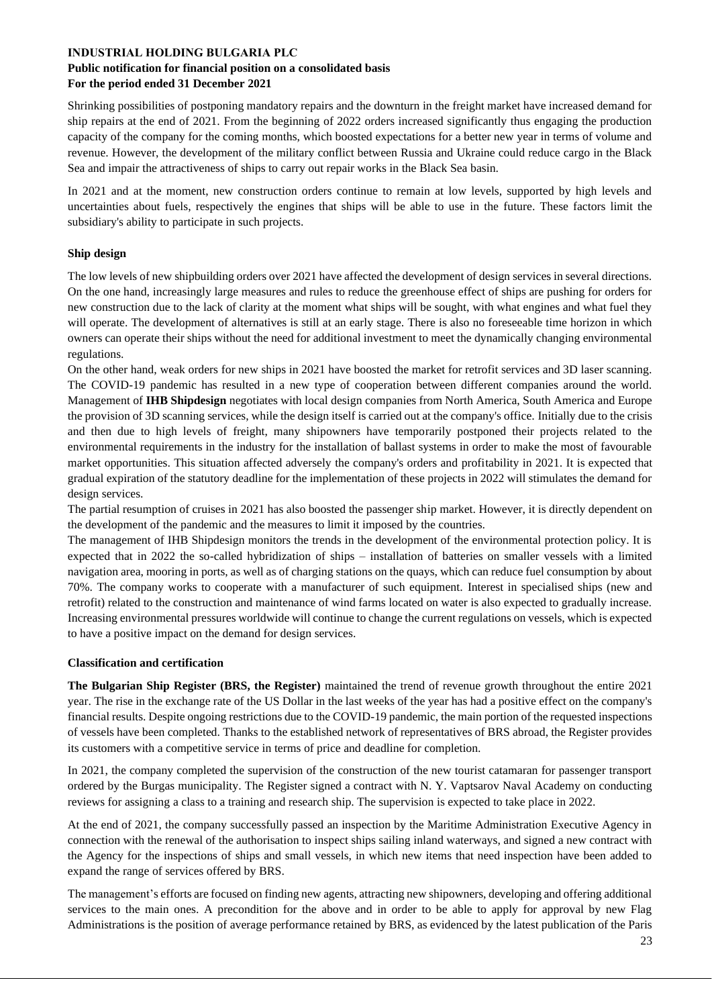#### **Public notification for financial position on a consolidated basis For the period ended 31 December 2021**

Shrinking possibilities of postponing mandatory repairs and the downturn in the freight market have increased demand for ship repairs at the end of 2021. From the beginning of 2022 orders increased significantly thus engaging the production capacity of the company for the coming months, which boosted expectations for a better new year in terms of volume and revenue. However, the development of the military conflict between Russia and Ukraine could reduce cargo in the Black Sea and impair the attractiveness of ships to carry out repair works in the Black Sea basin.

In 2021 and at the moment, new construction orders continue to remain at low levels, supported by high levels and uncertainties about fuels, respectively the engines that ships will be able to use in the future. These factors limit the subsidiary's ability to participate in such projects.

#### **Ship design**

The low levels of new shipbuilding orders over 2021 have affected the development of design services in several directions. On the one hand, increasingly large measures and rules to reduce the greenhouse effect of ships are pushing for orders for new construction due to the lack of clarity at the moment what ships will be sought, with what engines and what fuel they will operate. The development of alternatives is still at an early stage. There is also no foreseeable time horizon in which owners can operate their ships without the need for additional investment to meet the dynamically changing environmental regulations.

On the other hand, weak orders for new ships in 2021 have boosted the market for retrofit services and 3D laser scanning. The COVID-19 pandemic has resulted in a new type of cooperation between different companies around the world. Management of **IHB Shipdesign** negotiates with local design companies from North America, South America and Europe the provision of 3D scanning services, while the design itself is carried out at the company's office. Initially due to the crisis and then due to high levels of freight, many shipowners have temporarily postponed their projects related to the environmental requirements in the industry for the installation of ballast systems in order to make the most of favourable market opportunities. This situation affected adversely the company's orders and profitability in 2021. It is expected that gradual expiration of the statutory deadline for the implementation of these projects in 2022 will stimulates the demand for design services.

The partial resumption of cruises in 2021 has also boosted the passenger ship market. However, it is directly dependent on the development of the pandemic and the measures to limit it imposed by the countries.

The management of IHB Shipdesign monitors the trends in the development of the environmental protection policy. It is expected that in 2022 the so-called hybridization of ships – installation of batteries on smaller vessels with a limited navigation area, mooring in ports, as well as of charging stations on the quays, which can reduce fuel consumption by about 70%. The company works to cooperate with a manufacturer of such equipment. Interest in specialised ships (new and retrofit) related to the construction and maintenance of wind farms located on water is also expected to gradually increase. Increasing environmental pressures worldwide will continue to change the current regulations on vessels, which is expected to have a positive impact on the demand for design services.

#### **Classification and certification**

**The Bulgarian Ship Register (BRS, the Register)** maintained the trend of revenue growth throughout the entire 2021 year. The rise in the exchange rate of the US Dollar in the last weeks of the year has had a positive effect on the company's financial results. Despite ongoing restrictions due to the COVID-19 pandemic, the main portion of the requested inspections of vessels have been completed. Thanks to the established network of representatives of BRS abroad, the Register provides its customers with a competitive service in terms of price and deadline for completion.

In 2021, the company completed the supervision of the construction of the new tourist catamaran for passenger transport ordered by the Burgas municipality. The Register signed a contract with N. Y. Vaptsarov Naval Academy on conducting reviews for assigning a class to a training and research ship. The supervision is expected to take place in 2022.

At the end of 2021, the company successfully passed an inspection by the Maritime Administration Executive Agency in connection with the renewal of the authorisation to inspect ships sailing inland waterways, and signed a new contract with the Agency for the inspections of ships and small vessels, in which new items that need inspection have been added to expand the range of services offered by BRS.

The management's efforts are focused on finding new agents, attracting new shipowners, developing and offering additional services to the main ones. A precondition for the above and in order to be able to apply for approval by new Flag Administrations is the position of average performance retained by BRS, as evidenced by the latest publication of the Paris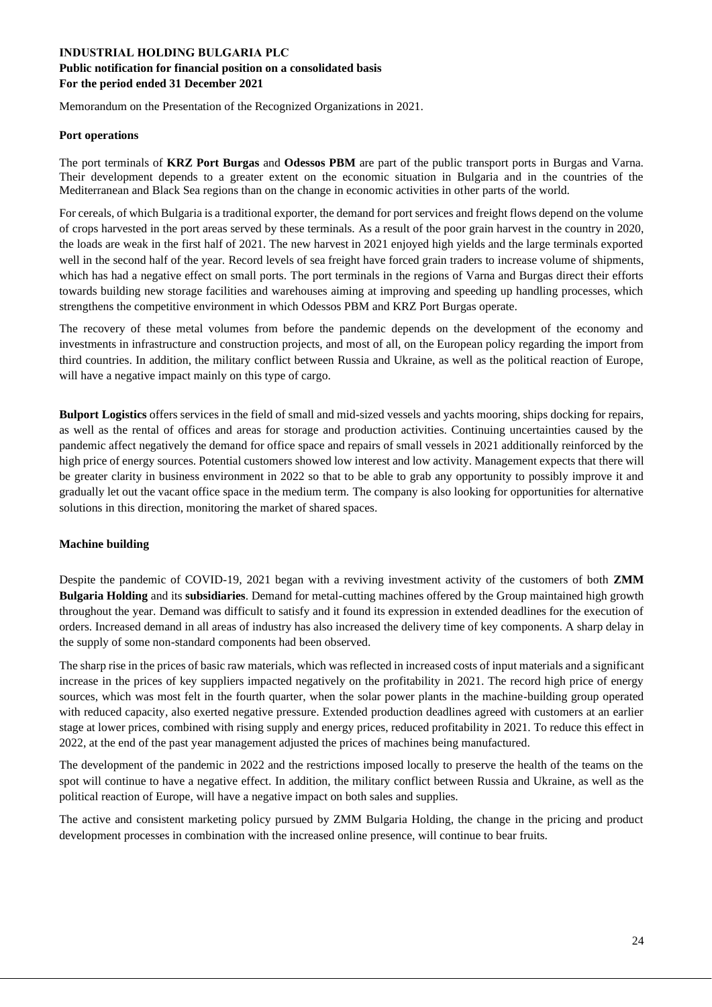## **INDUSTRIAL HOLDING BULGARIA PLC Public notification for financial position on a consolidated basis For the period ended 31 December 2021**

Memorandum on the Presentation of the Recognized Organizations in 2021.

#### **Port operations**

The port terminals of **KRZ Port Burgas** and **Odessos PBM** are part of the public transport ports in Burgas and Varna. Their development depends to a greater extent on the economic situation in Bulgaria and in the countries of the Mediterranean and Black Sea regions than on the change in economic activities in other parts of the world.

For cereals, of which Bulgaria is a traditional exporter, the demand for port services and freight flows depend on the volume of crops harvested in the port areas served by these terminals. As a result of the poor grain harvest in the country in 2020, the loads are weak in the first half of 2021. The new harvest in 2021 enjoyed high yields and the large terminals exported well in the second half of the year. Record levels of sea freight have forced grain traders to increase volume of shipments, which has had a negative effect on small ports. The port terminals in the regions of Varna and Burgas direct their efforts towards building new storage facilities and warehouses aiming at improving and speeding up handling processes, which strengthens the competitive environment in which Odessos PBM and KRZ Port Burgas operate.

The recovery of these metal volumes from before the pandemic depends on the development of the economy and investments in infrastructure and construction projects, and most of all, on the European policy regarding the import from third countries. In addition, the military conflict between Russia and Ukraine, as well as the political reaction of Europe, will have a negative impact mainly on this type of cargo.

**Bulport Logistics** offers services in the field of small and mid-sized vessels and yachts mooring, ships docking for repairs, as well as the rental of offices and areas for storage and production activities. Continuing uncertainties caused by the pandemic affect negatively the demand for office space and repairs of small vessels in 2021 additionally reinforced by the high price of energy sources. Potential customers showed low interest and low activity. Management expects that there will be greater clarity in business environment in 2022 so that to be able to grab any opportunity to possibly improve it and gradually let out the vacant office space in the medium term. The company is also looking for opportunities for alternative solutions in this direction, monitoring the market of shared spaces.

#### **Machine building**

Despite the pandemic of COVID-19, 2021 began with a reviving investment activity of the customers of both **ZMM Bulgaria Holding** and its **subsidiaries**. Demand for metal-cutting machines offered by the Group maintained high growth throughout the year. Demand was difficult to satisfy and it found its expression in extended deadlines for the execution of orders. Increased demand in all areas of industry has also increased the delivery time of key components. A sharp delay in the supply of some non-standard components had been observed.

The sharp rise in the prices of basic raw materials, which was reflected in increased costs of input materials and a significant increase in the prices of key suppliers impacted negatively on the profitability in 2021. The record high price of energy sources, which was most felt in the fourth quarter, when the solar power plants in the machine-building group operated with reduced capacity, also exerted negative pressure. Extended production deadlines agreed with customers at an earlier stage at lower prices, combined with rising supply and energy prices, reduced profitability in 2021. To reduce this effect in 2022, at the end of the past year management adjusted the prices of machines being manufactured.

The development of the pandemic in 2022 and the restrictions imposed locally to preserve the health of the teams on the spot will continue to have a negative effect. In addition, the military conflict between Russia and Ukraine, as well as the political reaction of Europe, will have a negative impact on both sales and supplies.

The active and consistent marketing policy pursued by ZMM Bulgaria Holding, the change in the pricing and product development processes in combination with the increased online presence, will continue to bear fruits.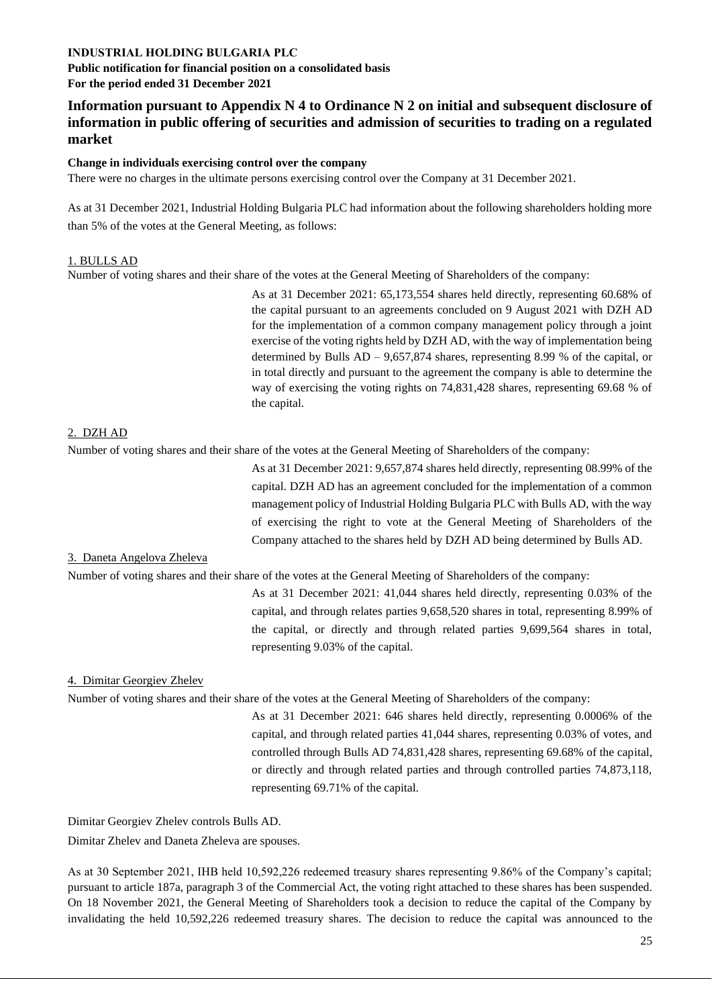**Public notification for financial position on a consolidated basis For the period ended 31 December 2021**

**Information pursuant to Appendix N 4 to Ordinance N 2 on initial and subsequent disclosure of information in public offering of securities and admission of securities to trading on a regulated market** 

#### **Change in individuals exercising control over the company**

There were no charges in the ultimate persons exercising control over the Company at 31 December 2021.

As at 31 December 2021, Industrial Holding Bulgaria PLC had information about the following shareholders holding more than 5% of the votes at the General Meeting, as follows:

#### 1. BULLS AD

Number of voting shares and their share of the votes at the General Meeting of Shareholders of the company:

As at 31 December 2021: 65,173,554 shares held directly, representing 60.68% of the capital pursuant to an agreements concluded on 9 August 2021 with DZH AD for the implementation of a common company management policy through a joint exercise of the voting rights held by DZH AD, with the way of implementation being determined by Bulls AD – 9,657,874 shares, representing 8.99 % of the capital, or in total directly and pursuant to the agreement the company is able to determine the way of exercising the voting rights on 74,831,428 shares, representing 69.68 % of the capital.

#### 2. DZH AD

Number of voting shares and their share of the votes at the General Meeting of Shareholders of the company:

As at 31 December 2021: 9,657,874 shares held directly, representing 08.99% of the capital. DZH AD has an agreement concluded for the implementation of a common management policy of Industrial Holding Bulgaria PLC with Bulls AD, with the way of exercising the right to vote at the General Meeting of Shareholders of the Company attached to the shares held by DZH AD being determined by Bulls AD.

#### 3. Daneta Angelova Zheleva

Number of voting shares and their share of the votes at the General Meeting of Shareholders of the company:

As at 31 December 2021: 41,044 shares held directly, representing 0.03% of the capital, and through relates parties 9,658,520 shares in total, representing 8.99% of the capital, or directly and through related parties 9,699,564 shares in total, representing 9.03% of the capital.

#### 4. Dimitar Georgiev Zhelev

Number of voting shares and their share of the votes at the General Meeting of Shareholders of the company:

As at 31 December 2021: 646 shares held directly, representing 0.0006% of the capital, and through related parties 41,044 shares, representing 0.03% of votes, and controlled through Bulls AD 74,831,428 shares, representing 69.68% of the capital, or directly and through related parties and through controlled parties 74,873,118, representing 69.71% of the capital.

Dimitar Georgiev Zhelev controls Bulls AD.

Dimitar Zhelev and Daneta Zheleva are spouses.

As at 30 September 2021, IHB held 10,592,226 redeemed treasury shares representing 9.86% of the Company's capital; pursuant to article 187a, paragraph 3 of the Commercial Act, the voting right attached to these shares has been suspended. On 18 November 2021, the General Meeting of Shareholders took a decision to reduce the capital of the Company by invalidating the held 10,592,226 redeemed treasury shares. The decision to reduce the capital was announced to the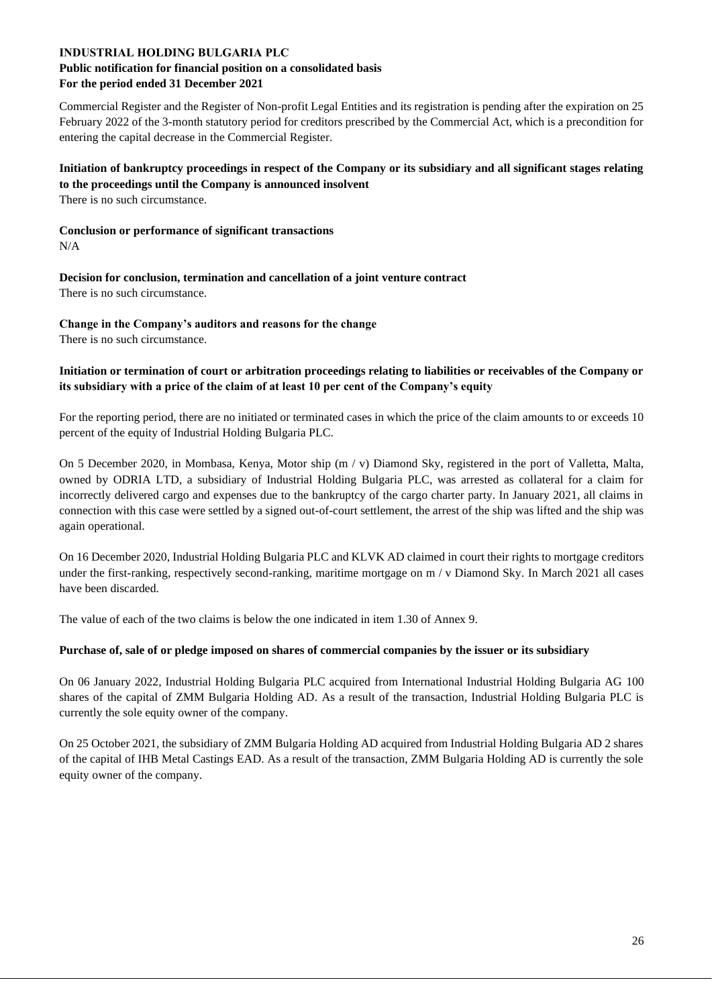#### **Public notification for financial position on a consolidated basis For the period ended 31 December 2021**

Commercial Register and the Register of Non-profit Legal Entities and its registration is pending after the expiration on 25 February 2022 of the 3-month statutory period for creditors prescribed by the Commercial Act, which is a precondition for entering the capital decrease in the Commercial Register.

**Initiation of bankruptcy proceedings in respect of the Company or its subsidiary and all significant stages relating to the proceedings until the Company is announced insolvent** 

There is no such circumstance.

**Conclusion or performance of significant transactions**  N/A

**Decision for conclusion, termination and cancellation of a joint venture contract** There is no such circumstance.

**Change in the Company's auditors and reasons for the change** There is no such circumstance.

#### **Initiation or termination of court or arbitration proceedings relating to liabilities or receivables of the Company or its subsidiary with a price of the claim of at least 10 per cent of the Company's equity**

For the reporting period, there are no initiated or terminated cases in which the price of the claim amounts to or exceeds 10 percent of the equity of Industrial Holding Bulgaria PLC.

On 5 December 2020, in Mombasa, Kenya, Motor ship (m / v) Diamond Sky, registered in the port of Valletta, Malta, owned by ODRIA LTD, a subsidiary of Industrial Holding Bulgaria PLC, was arrested as collateral for a claim for incorrectly delivered cargo and expenses due to the bankruptcy of the cargo charter party. In January 2021, all claims in connection with this case were settled by a signed out-of-court settlement, the arrest of the ship was lifted and the ship was again operational.

On 16 December 2020, Industrial Holding Bulgaria PLC and KLVK AD claimed in court their rights to mortgage creditors under the first-ranking, respectively second-ranking, maritime mortgage on m / v Diamond Sky. In March 2021 all cases have been discarded.

The value of each of the two claims is below the one indicated in item 1.30 of Annex 9.

#### **Purchase of, sale of or pledge imposed on shares of commercial companies by the issuer or its subsidiary**

On 06 January 2022, Industrial Holding Bulgaria PLC acquired from International Industrial Holding Bulgaria AG 100 shares of the capital of ZMM Bulgaria Holding AD. As a result of the transaction, Industrial Holding Bulgaria PLC is currently the sole equity owner of the company.

On 25 October 2021, the subsidiary of ZMM Bulgaria Holding AD acquired from Industrial Holding Bulgaria AD 2 shares of the capital of IHB Metal Castings EAD. As a result of the transaction, ZMM Bulgaria Holding AD is currently the sole equity owner of the company.